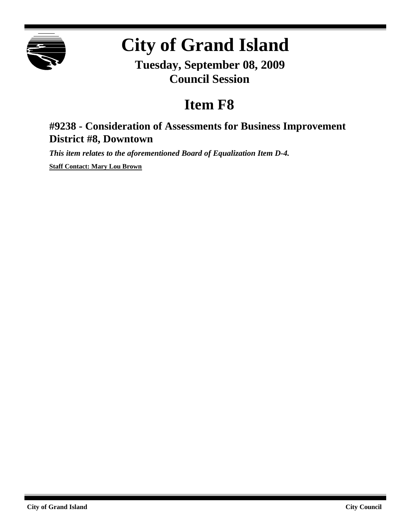

# **City of Grand Island**

**Tuesday, September 08, 2009 Council Session**

## **Item F8**

## **#9238 - Consideration of Assessments for Business Improvement District #8, Downtown**

*This item relates to the aforementioned Board of Equalization Item D-4.*

**Staff Contact: Mary Lou Brown**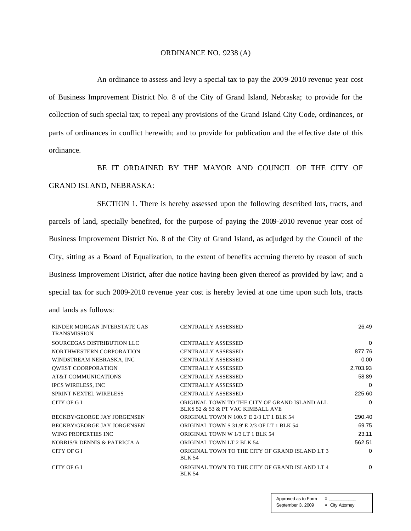#### ORDINANCE NO. 9238 (A)

An ordinance to assess and levy a special tax to pay the 2009-2010 revenue year cost of Business Improvement District No. 8 of the City of Grand Island, Nebraska; to provide for the collection of such special tax; to repeal any provisions of the Grand Island City Code, ordinances, or parts of ordinances in conflict herewith; and to provide for publication and the effective date of this ordinance.

BE IT ORDAINED BY THE MAYOR AND COUNCIL OF THE CITY OF GRAND ISLAND, NEBRASKA:

SECTION 1. There is hereby assessed upon the following described lots, tracts, and parcels of land, specially benefited, for the purpose of paying the 2009-2010 revenue year cost of Business Improvement District No. 8 of the City of Grand Island, as adjudged by the Council of the City, sitting as a Board of Equalization, to the extent of benefits accruing thereto by reason of such Business Improvement District, after due notice having been given thereof as provided by law; and a special tax for such 2009-2010 revenue year cost is hereby levied at one time upon such lots, tracts and lands as follows:

| KINDER MORGAN INTERSTATE GAS<br><b>TRANSMISSION</b> | <b>CENTRALLY ASSESSED</b>                                                          | 26.49    |
|-----------------------------------------------------|------------------------------------------------------------------------------------|----------|
| SOURCEGAS DISTRIBUTION LLC                          | <b>CENTRALLY ASSESSED</b>                                                          | 0        |
| NORTHWESTERN CORPORATION                            | <b>CENTRALLY ASSESSED</b>                                                          | 877.76   |
| WINDSTREAM NEBRASKA, INC                            | <b>CENTRALLY ASSESSED</b>                                                          | 0.00     |
| <b>QWEST COORPORATION</b>                           | <b>CENTRALLY ASSESSED</b>                                                          | 2,703.93 |
| AT&T COMMUNICATIONS                                 | <b>CENTRALLY ASSESSED</b>                                                          | 58.89    |
| <b>IPCS WIRELESS, INC</b>                           | <b>CENTRALLY ASSESSED</b>                                                          | 0        |
| <b>SPRINT NEXTEL WIRELESS</b>                       | <b>CENTRALLY ASSESSED</b>                                                          | 225.60   |
| CITY OF GI                                          | ORIGINAL TOWN TO THE CITY OF GRAND ISLAND ALL<br>BLKS 52 & 53 & PT VAC KIMBALL AVE | $\Omega$ |
| BECKBY/GEORGE JAY JORGENSEN                         | <b>ORIGINAL TOWN N 100.5' E 2/3 LT 1 BLK 54</b>                                    | 290.40   |
| <b>BECKBY/GEORGE JAY JORGENSEN</b>                  | ORIGINAL TOWN S 31.9' E 2/3 OF LT 1 BLK 54                                         | 69.75    |
| WING PROPERTIES INC.                                | ORIGINAL TOWN W 1/3 LT 1 BLK 54                                                    | 23.11    |
| NORRIS/R DENNIS & PATRICIA A                        | <b>ORIGINAL TOWN LT 2 BLK 54</b>                                                   | 562.51   |
| CITY OF GI                                          | ORIGINAL TOWN TO THE CITY OF GRAND ISLAND LT 3<br><b>BLK 54</b>                    | 0        |
| CITY OF GI                                          | ORIGINAL TOWN TO THE CITY OF GRAND ISLAND LT 4<br><b>BLK 54</b>                    | 0        |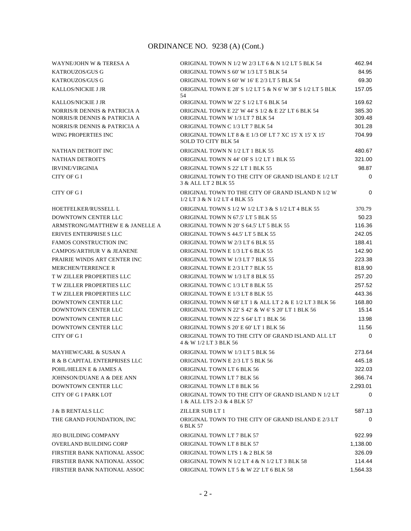| WAYNE/JOHN W & TERESA A                                      | ORIGINAL TOWN N 1/2 W 2/3 LT 6 & N 1/2 LT 5 BLK 54                                                            | 462.94           |
|--------------------------------------------------------------|---------------------------------------------------------------------------------------------------------------|------------------|
| <b>KATROUZOS/GUS G</b>                                       | ORIGINAL TOWN S 60' W 1/3 LT 5 BLK 54                                                                         | 84.95            |
| KATROUZOS/GUS G                                              | ORIGINAL TOWN S 60' W 16' E 2/3 LT 5 BLK 54                                                                   | 69.30            |
| <b>KALLOS/NICKIE J JR</b>                                    | ORIGINAL TOWN E 28' S 1/2 LT 5 & N 6' W 38' S 1/2 LT 5 BLK<br>54                                              | 157.05           |
| <b>KALLOS/NICKIE J JR</b>                                    | ORIGINAL TOWN W 22' S 1/2 LT 6 BLK 54                                                                         | 169.62           |
| NORRIS/R DENNIS & PATRICIA A<br>NORRIS/R DENNIS & PATRICIA A | ORIGINAL TOWN E 22' W 44' S 1/2 & E 22' LT 6 BLK 54<br>ORIGINAL TOWN W 1/3 LT 7 BLK 54                        | 385.30<br>309.48 |
| NORRIS/R DENNIS & PATRICIA A                                 | ORIGINAL TOWN C 1/3 LT 7 BLK 54                                                                               | 301.28           |
| WING PROPERTIES INC                                          | ORIGINAL TOWN LT 8 & E 1/3 OF LT 7 XC 15' X 15' X 15'<br><b>SOLD TO CITY BLK 54</b>                           | 704.99           |
| NATHAN DETROIT INC                                           | ORIGINAL TOWN N 1/2 LT 1 BLK 55                                                                               | 480.67           |
| <b>NATHAN DETROIT'S</b>                                      | ORIGINAL TOWN N 44' OF S 1/2 LT 1 BLK 55                                                                      | 321.00           |
| <b>IRVINE/VIRGINIA</b>                                       | ORIGINAL TOWN S 22' LT 1 BLK 55                                                                               | 98.87            |
| CITY OF G I                                                  | ORIGINAL TOWN TO THE CITY OF GRAND ISLAND E 1/2 LT<br>3 & ALL LT 2 BLK 55                                     | $\mathbf 0$      |
| CITY OF G I                                                  | ORIGINAL TOWN TO THE CITY OF GRAND ISLAND N 1/2 W<br>1/2 LT 3 & N 1/2 LT 4 BLK 55                             | 0                |
| HOETFELKER/RUSSELL L                                         | ORIGINAL TOWN S 1/2 W 1/2 LT 3 & S 1/2 LT 4 BLK 55                                                            | 370.79           |
| <b>DOWNTOWN CENTER LLC</b>                                   | ORIGINAL TOWN N 67.5' LT 5 BLK 55                                                                             | 50.23            |
| ARMSTRONG/MATTHEW E & JANELLE A                              | ORIGINAL TOWN N 20' S 64.5' LT 5 BLK 55                                                                       | 116.36           |
| ERIVES ENTERPRISE SLLC                                       | ORIGINAL TOWN S 44.5' LT 5 BLK 55                                                                             | 242.05           |
| <b>FAMOS CONSTRUCTION INC</b>                                | ORIGINAL TOWN W 2/3 LT 6 BLK 55                                                                               | 188.41           |
| <b>CAMPOS/ARTHUR V &amp; JEANENE</b>                         | ORIGINAL TOWN E 1/3 LT 6 BLK 55                                                                               | 142.90           |
| PRAIRIE WINDS ART CENTER INC                                 | ORIGINAL TOWN W 1/3 LT 7 BLK 55                                                                               | 223.38           |
| <b>MERCHEN/TERRENCE R</b>                                    | ORIGINAL TOWN E 2/3 LT 7 BLK 55                                                                               | 818.90           |
| <b>T W ZILLER PROPERTIES LLC</b>                             | ORIGINAL TOWN W 1/3 LT 8 BLK 55                                                                               | 257.20           |
| <b>TW ZILLER PROPERTIES LLC</b>                              | ORIGINAL TOWN C 1/3 LT 8 BLK 55                                                                               | 257.52           |
| T W ZILLER PROPERTIES LLC                                    | ORIGINAL TOWN E 1/3 LT 8 BLK 55                                                                               | 443.36           |
| <b>DOWNTOWN CENTER LLC</b><br>DOWNTOWN CENTER LLC            | ORIGINAL TOWN N 68' LT 1 & ALL LT 2 & E 1/2 LT 3 BLK 56<br>ORIGINAL TOWN N 22' S 42' & W 6' S 20' LT 1 BLK 56 | 168.80<br>15.14  |
| DOWNTOWN CENTER LLC                                          | ORIGINAL TOWN N 22' S 64' LT 1 BLK 56                                                                         | 13.98            |
| DOWNTOWN CENTER LLC                                          | ORIGINAL TOWN S 20' E 60' LT 1 BLK 56                                                                         | 11.56            |
| CITY OF G I                                                  | ORIGINAL TOWN TO THE CITY OF GRAND ISLAND ALL LT<br>4 & W 1/2 LT 3 BLK 56                                     | $\Omega$         |
| <b>MAYHEW/CARL &amp; SUSAN A</b>                             | ORIGINAL TOWN W 1/3 LT 5 BLK 56                                                                               | 273.64           |
| R & B CAPITAL ENTERPRISES LLC                                | ORIGINAL TOWN E 2/3 LT 5 BLK 56                                                                               | 445.18           |
| POHL/HELEN E & JAMES A                                       | ORIGINAL TOWN LT 6 BLK 56                                                                                     | 322.03           |
| JOHNSON/DUANE A & DEE ANN                                    | ORIGINAL TOWN LT 7 BLK 56                                                                                     | 366.74           |
| DOWNTOWN CENTER LLC                                          | ORIGINAL TOWN LT 8 BLK 56                                                                                     | 2,293.01         |
| <b>CITY OF G I PARK LOT</b>                                  | ORIGINAL TOWN TO THE CITY OF GRAND ISLAND N 1/2 LT<br>1 & ALL LTS 2-3 & 4 BLK 57                              | 0                |
| <b>J &amp; B RENTALS LLC</b>                                 | ZILLER SUB LT 1                                                                                               | 587.13           |
| THE GRAND FOUNDATION, INC                                    | ORIGINAL TOWN TO THE CITY OF GRAND ISLAND E 2/3 LT<br>6 BLK 57                                                | $\Omega$         |
| <b>JEO BUILDING COMPANY</b>                                  | ORIGINAL TOWN LT 7 BLK 57                                                                                     | 922.99           |
| <b>OVERLAND BUILDING CORP</b>                                | ORIGINAL TOWN LT 8 BLK 57                                                                                     | 1,138.00         |
| FIRSTIER BANK NATIONAL ASSOC                                 | ORIGINAL TOWN LTS 1 & 2 BLK 58                                                                                | 326.09           |
| FIRSTIER BANK NATIONAL ASSOC                                 | ORIGINAL TOWN N 1/2 LT 4 & N 1/2 LT 3 BLK 58                                                                  | 114.44           |
| FIRSTIER BANK NATIONAL ASSOC                                 | ORIGINAL TOWN LT 5 & W 22' LT 6 BLK 58                                                                        | 1,564.33         |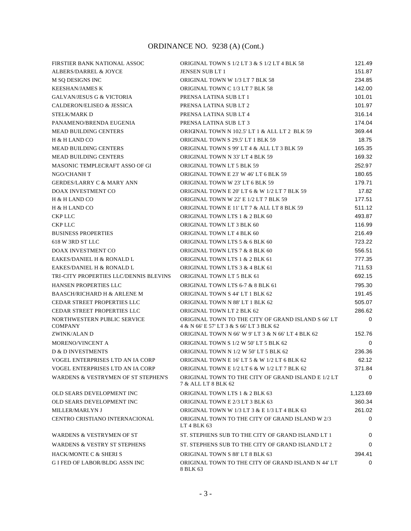| FIRSTIER BANK NATIONAL ASSOC                   | ORIGINAL TOWN S 1/2 LT 3 & S 1/2 LT 4 BLK 58                                                  | 121.49      |
|------------------------------------------------|-----------------------------------------------------------------------------------------------|-------------|
| <b>ALBERS/DARREL &amp; JOYCE</b>               | <b>JENSEN SUB LT 1</b>                                                                        | 151.87      |
| M SO DESIGNS INC                               | ORIGINAL TOWN W 1/3 LT 7 BLK 58                                                               | 234.85      |
| <b>KEESHAN/JAMES K</b>                         | ORIGINAL TOWN C 1/3 LT 7 BLK 58                                                               | 142.00      |
| <b>GALVAN/JESUS G &amp; VICTORIA</b>           | PRENSA LATINA SUB LT 1                                                                        | 101.01      |
| <b>CALDERON/ELISEO &amp; JESSICA</b>           | PRENSA LATINA SUB LT 2                                                                        | 101.97      |
| <b>STELK/MARK D</b>                            | PRENSA LATINA SUB LT 4                                                                        | 316.14      |
| PANAMENO/BRENDA EUGENIA                        | PRENSA LATINA SUB LT 3                                                                        | 174.04      |
| <b>MEAD BUILDING CENTERS</b>                   | ORIGINAL TOWN N 102.5' LT 1 & ALL LT 2 BLK 59                                                 | 369.44      |
| H & H LAND CO                                  | ORIGINAL TOWN S 29.5' LT 1 BLK 59                                                             | 18.75       |
| <b>MEAD BUILDING CENTERS</b>                   | ORIGINAL TOWN S 99' LT 4 & ALL LT 3 BLK 59                                                    | 165.35      |
| <b>MEAD BUILDING CENTERS</b>                   | ORIGINAL TOWN N 33' LT 4 BLK 59                                                               | 169.32      |
| MASONIC TEMPLECRAFT ASSO OF GI                 | ORIGINAL TOWN LT 5 BLK 59                                                                     | 252.97      |
| NGO/CHANH T                                    | ORIGINAL TOWN E 23' W 46' LT 6 BLK 59                                                         | 180.65      |
| <b>GERDES/LARRY C &amp; MARY ANN</b>           | ORIGINAL TOWN W 23' LT 6 BLK 59                                                               | 179.71      |
| DOAX INVESTMENT CO                             | ORIGINAL TOWN E 20' LT 6 & W 1/2 LT 7 BLK 59                                                  | 17.82       |
| H & H LAND CO                                  | ORIGINAL TOWN W 22' E 1/2 LT 7 BLK 59                                                         | 177.51      |
| H & H LAND CO                                  | ORIGINAL TOWN E 11' LT 7 & ALL LT 8 BLK 59                                                    | 511.12      |
| <b>CKP LLC</b>                                 | ORIGINAL TOWN LTS 1 & 2 BLK 60                                                                | 493.87      |
| <b>CKP LLC</b>                                 | ORIGINAL TOWN LT 3 BLK 60                                                                     | 116.99      |
| <b>BUSINESS PROPERTIES</b>                     | ORIGINAL TOWN LT 4 BLK 60                                                                     | 216.49      |
| 618 W 3RD ST LLC                               | ORIGINAL TOWN LTS 5 & 6 BLK 60                                                                | 723.22      |
| DOAX INVESTMENT CO                             | ORIGINAL TOWN LTS 7 & 8 BLK 60                                                                | 556.51      |
| EAKES/DANIEL H & RONALD L                      | ORIGINAL TOWN LTS 1 & 2 BLK 61                                                                | 777.35      |
| EAKES/DANIEL H & RONALD L                      | ORIGINAL TOWN LTS 3 & 4 BLK 61                                                                | 711.53      |
| TRI-CITY PROPERTIES LLC/DENNIS BLEVINS         | ORIGINAL TOWN LT 5 BLK 61                                                                     | 692.15      |
| HANSEN PROPERTIES LLC                          | ORIGINAL TOWN LTS 6-7 & 8 BLK 61                                                              | 795.30      |
| <b>BAASCH/RICHARD H &amp; ARLENE M</b>         | ORIGINAL TOWN S 44' LT 1 BLK 62                                                               | 191.45      |
| <b>CEDAR STREET PROPERTIES LLC</b>             | ORIGINAL TOWN N 88' LT 1 BLK 62                                                               | 505.07      |
| CEDAR STREET PROPERTIES LLC                    | ORIGINAL TOWN LT 2 BLK 62                                                                     | 286.62      |
| NORTHWESTERN PUBLIC SERVICE<br><b>COMPANY</b>  | ORIGINAL TOWN TO THE CITY OF GRAND ISLAND S 66'LT<br>4 & N 66' E 57' LT 3 & S 66' LT 3 BLK 62 | $\mathbf 0$ |
| ZWINK/ALAN D                                   | ORIGINAL TOWN N 66' W 9' LT 3 & N 66' LT 4 BLK 62                                             | 152.76      |
| MORENO/VINCENT A                               | ORIGINAL TOWN S 1/2 W 50' LT 5 BLK 62                                                         | $\mathbf 0$ |
| <b>D &amp; D INVESTMENTS</b>                   | ORIGINAL TOWN N 1/2 W 50' LT 5 BLK 62                                                         | 236.36      |
| VOGEL ENTERPRISES LTD AN IA CORP               | ORIGINAL TOWN E 16' LT 5 & W 1/2 LT 6 BLK 62                                                  | 62.12       |
| VOGEL ENTERPRISES LTD AN IA CORP               | ORIGINAL TOWN E 1/2 LT 6 & W 1/2 LT 7 BLK 62                                                  | 371.84      |
| <b>WARDENS &amp; VESTRYMEN OF ST STEPHEN'S</b> | ORIGINAL TOWN TO THE CITY OF GRAND ISLAND E 1/2 LT<br>7 & ALL LT 8 BLK 62                     | $\mathbf 0$ |
| OLD SEARS DEVELOPMENT INC                      | ORIGINAL TOWN LTS 1 & 2 BLK 63                                                                | 1,123.69    |
| OLD SEARS DEVELOPMENT INC                      | ORIGINAL TOWN E 2/3 LT 3 BLK 63                                                               | 360.34      |
| <b>MILLER/MARLYN J</b>                         | ORIGINAL TOWN W 1/3 LT 3 & E 1/3 LT 4 BLK 63                                                  | 261.02      |
| CENTRO CRISTIANO INTERNACIONAL                 | ORIGINAL TOWN TO THE CITY OF GRAND ISLAND W 2/3<br>LT 4 BLK 63                                | 0           |
| <b>WARDENS &amp; VESTRYMEN OF ST</b>           | ST. STEPHENS SUB TO THE CITY OF GRAND ISLAND LT 1                                             | 0           |
| <b>WARDENS &amp; VESTRY ST STEPHENS</b>        | ST. STEPHENS SUB TO THE CITY OF GRAND ISLAND LT 2                                             | 0           |
| HACK/MONTE C & SHERI S                         | ORIGINAL TOWN S 88' LT 8 BLK 63                                                               | 394.41      |
| G I FED OF LABOR/BLDG ASSN INC                 | ORIGINAL TOWN TO THE CITY OF GRAND ISLAND N 44' LT<br>8 BLK 63                                | $\Omega$    |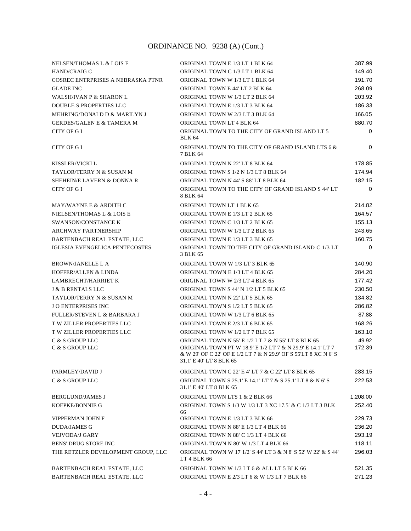| NELSEN/THOMAS L & LOIS E               | ORIGINAL TOWN E 1/3 LT 1 BLK 64                                                                                                                          | 387.99      |
|----------------------------------------|----------------------------------------------------------------------------------------------------------------------------------------------------------|-------------|
| HAND/CRAIG C                           | ORIGINAL TOWN C 1/3 LT 1 BLK 64                                                                                                                          | 149.40      |
| COSREC ENTRPRISES A NEBRASKA PTNR      | ORIGINAL TOWN W 1/3 LT 1 BLK 64                                                                                                                          | 191.70      |
| <b>GLADE INC</b>                       | ORIGINAL TOWN E 44' LT 2 BLK 64                                                                                                                          | 268.09      |
| WALSH/IVAN P & SHARON L                | ORIGINAL TOWN W 1/3 LT 2 BLK 64                                                                                                                          | 203.92      |
| <b>DOUBLE S PROPERTIES LLC</b>         | ORIGINAL TOWN E 1/3 LT 3 BLK 64                                                                                                                          | 186.33      |
| MEHRING/DONALD D & MARILYN J           | ORIGINAL TOWN W 2/3 LT 3 BLK 64                                                                                                                          | 166.05      |
| <b>GERDES/GALEN E &amp; TAMERA M</b>   | ORIGINAL TOWN LT 4 BLK 64                                                                                                                                | 880.70      |
| CITY OF G I                            | ORIGINAL TOWN TO THE CITY OF GRAND ISLAND LT 5<br><b>BLK 64</b>                                                                                          | $\Omega$    |
| CITY OF G I                            | ORIGINAL TOWN TO THE CITY OF GRAND ISLAND LTS 6 &<br>7 BLK 64                                                                                            | $\Omega$    |
| KISSLER/VICKI L                        | ORIGINAL TOWN N 22' LT 8 BLK 64                                                                                                                          | 178.85      |
| TAYLOR/TERRY N & SUSAN M               | ORIGINAL TOWN S 1/2 N 1/3 LT 8 BLK 64                                                                                                                    | 174.94      |
| <b>SHEHEIN/E LAVERN &amp; DONNA R</b>  | ORIGINAL TOWN N 44' S 88' LT 8 BLK 64                                                                                                                    | 182.15      |
| CITY OF G I                            | ORIGINAL TOWN TO THE CITY OF GRAND ISLAND S 44' LT<br>8 BLK 64                                                                                           | $\mathbf 0$ |
| MAY/WAYNE E & ARDITH C                 | ORIGINAL TOWN LT 1 BLK 65                                                                                                                                | 214.82      |
| NIELSEN/THOMAS L & LOIS E              | ORIGINAL TOWN E 1/3 LT 2 BLK 65                                                                                                                          | 164.57      |
| SWANSON/CONSTANCE K                    | ORIGINAL TOWN C 1/3 LT 2 BLK 65                                                                                                                          | 155.13      |
| <b>ARCHWAY PARTNERSHIP</b>             | ORIGINAL TOWN W 1/3 LT 2 BLK 65                                                                                                                          | 243.65      |
| BARTENBACH REAL ESTATE, LLC            | ORIGINAL TOWN E 1/3 LT 3 BLK 65                                                                                                                          | 160.75      |
| <b>IGLESIA EVENGELICA PENTECOSTES</b>  | ORIGINAL TOWN TO THE CITY OF GRAND ISLAND C 1/3 LT<br>3 BLK 65                                                                                           | 0           |
| BROWN/JANELLE L A                      | ORIGINAL TOWN W 1/3 LT 3 BLK 65                                                                                                                          | 140.90      |
| <b>HOFFER/ALLEN &amp; LINDA</b>        | ORIGINAL TOWN E 1/3 LT 4 BLK 65                                                                                                                          | 284.20      |
| <b>LAMBRECHT/HARRIET K</b>             | ORIGINAL TOWN W 2/3 LT 4 BLK 65                                                                                                                          | 177.42      |
| <b>J &amp; B RENTALS LLC</b>           | ORIGINAL TOWN S 44' N 1/2 LT 5 BLK 65                                                                                                                    | 230.50      |
| TAYLOR/TERRY N & SUSAN M               | ORIGINAL TOWN N 22' LT 5 BLK 65                                                                                                                          | 134.82      |
| <b>JO ENTERPRISES INC</b>              | ORIGINAL TOWN S 1/2 LT 5 BLK 65                                                                                                                          | 286.82      |
| <b>FULLER/STEVEN L &amp; BARBARA J</b> | ORIGINAL TOWN W 1/3 LT 6 BLK 65                                                                                                                          | 87.88       |
| T W ZILLER PROPERTIES LLC              | ORIGINAL TOWN E 2/3 LT 6 BLK 65                                                                                                                          | 168.26      |
| <b>TW ZILLER PROPERTIES LLC</b>        | ORIGINAL TOWN W 1/2 LT 7 BLK 65                                                                                                                          | 163.10      |
| C & S GROUP LLC                        | ORIGINAL TOWN N 55' E 1/2 LT 7 & N 55' LT 8 BLK 65                                                                                                       | 49.92       |
| C & S GROUP LLC                        | ORIGINAL TOWN PT W 18.9' E 1/2 LT 7 & N 29.9' E 14.1' LT 7<br>& W 29' OF C 22' OF E 1/2 LT 7 & N 29.9' OF S 55'LT 8 XC N 6' S<br>31.1' E 40' LT 8 BLK 65 | 172.39      |
| PARMLEY/DAVID J                        | ORIGINAL TOWN C 22' E 4' LT 7 & C 22' LT 8 BLK 65                                                                                                        | 283.15      |
| C & S GROUP LLC                        | ORIGINAL TOWN S 25.1' E 14.1' LT 7 & S 25.1' LT 8 & N 6' S<br>31.1' E 40' LT 8 BLK 65                                                                    | 222.53      |
| <b>BERGLUND/JAMES J</b>                | ORIGINAL TOWN LTS 1 & 2 BLK 66                                                                                                                           | 1,208.00    |
| <b>KOEPKE/BONNIE G</b>                 | ORIGINAL TOWN S 1/3 W 1/3 LT 3 XC 17.5' & C 1/3 LT 3 BLK<br>66                                                                                           | 252.40      |
| VIPPERMAN JOHN F                       | ORIGINAL TOWN E 1/3 LT 3 BLK 66                                                                                                                          | 229.73      |
| DUDA/JAMES G                           | ORIGINAL TOWN N 88' E 1/3 LT 4 BLK 66                                                                                                                    | 236.20      |
| <b>VEJVODA/J GARY</b>                  | ORIGINAL TOWN N 88' C 1/3 LT 4 BLK 66                                                                                                                    | 293.19      |
| <b>BENS' DRUG STORE INC</b>            | ORIGINAL TOWN N 80' W 1/3 LT 4 BLK 66                                                                                                                    | 118.11      |
| THE RETZLER DEVELOPMENT GROUP, LLC     | ORIGINAL TOWN W 17 1/2' S 44' LT 3 & N 8' S 52' W 22' & S 44'<br>LT 4 BLK 66                                                                             | 296.03      |
| BARTENBACH REAL ESTATE, LLC            | ORIGINAL TOWN W 1/3 LT 6 & ALL LT 5 BLK 66                                                                                                               | 521.35      |
| BARTENBACH REAL ESTATE, LLC            | ORIGINAL TOWN E 2/3 LT 6 & W 1/3 LT 7 BLK 66                                                                                                             | 271.23      |
|                                        |                                                                                                                                                          |             |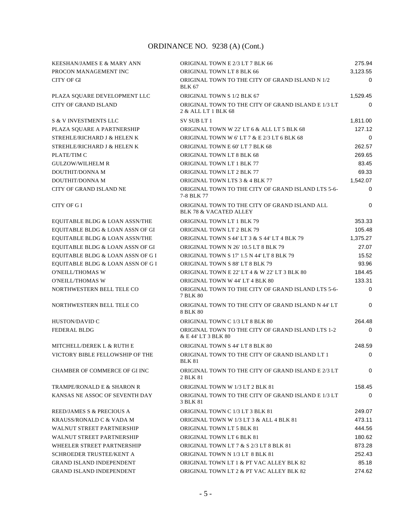| KEESHAN/JAMES E & MARY ANN                | ORIGINAL TOWN E 2/3 LT 7 BLK 66                                                    | 275.94      |
|-------------------------------------------|------------------------------------------------------------------------------------|-------------|
| PROCON MANAGEMENT INC                     | ORIGINAL TOWN LT 8 BLK 66                                                          | 3,123.55    |
| <b>CITY OF GI</b>                         | ORIGINAL TOWN TO THE CITY OF GRAND ISLAND N 1/2<br><b>BLK 67</b>                   | 0           |
| PLAZA SQUARE DEVELOPMENT LLC              | ORIGINAL TOWN S 1/2 BLK 67                                                         | 1,529.45    |
| <b>CITY OF GRAND ISLAND</b>               | ORIGINAL TOWN TO THE CITY OF GRAND ISLAND E 1/3 LT<br>2 & ALL LT 1 BLK 68          | 0           |
| <b>S &amp; V INVESTMENTS LLC</b>          | SV SUB LT 1                                                                        | 1,811.00    |
| PLAZA SOUARE A PARTNERSHIP                | ORIGINAL TOWN W 22' LT 6 & ALL LT 5 BLK 68                                         | 127.12      |
| STREHLE/RICHARD J & HELEN K               | ORIGINAL TOWN W 6'LT 7 & E 2/3 LT 6 BLK 68                                         | 0           |
| STREHLE/RICHARD J & HELEN K               | ORIGINAL TOWN E 60' LT 7 BLK 68                                                    | 262.57      |
| PLATE/TIM C                               | ORIGINAL TOWN LT 8 BLK 68                                                          | 269.65      |
| <b>GULZOW/WILHELM R</b>                   | ORIGINAL TOWN LT 1 BLK 77                                                          | 83.45       |
| DOUTHIT/DONNA M                           | ORIGINAL TOWN LT 2 BLK 77                                                          | 69.33       |
| DOUTHIT/DONNA M                           | ORIGINAL TOWN LTS 3 & 4 BLK 77                                                     | 1,542.07    |
| <b>CITY OF GRAND ISLAND NE</b>            | ORIGINAL TOWN TO THE CITY OF GRAND ISLAND LTS 5-6-<br>7-8 BLK 77                   | 0           |
| CITY OF GI                                | ORIGINAL TOWN TO THE CITY OF GRAND ISLAND ALL<br><b>BLK 78 &amp; VACATED ALLEY</b> | 0           |
| EQUITABLE BLDG & LOAN ASSN/THE            | <b>ORIGINAL TOWN LT 1 BLK 79</b>                                                   | 353.33      |
| EQUITABLE BLDG & LOAN ASSN OF GI          | ORIGINAL TOWN LT 2 BLK 79                                                          | 105.48      |
| <b>EQUITABLE BLDG &amp; LOAN ASSN/THE</b> | ORIGINAL TOWN S 44' LT 3 & S 44' LT 4 BLK 79                                       | 1,375.27    |
| EQUITABLE BLDG & LOAN ASSN OF GI          | ORIGINAL TOWN N 26' 10.5 LT 8 BLK 79                                               | 27.07       |
| EQUITABLE BLDG & LOAN ASSN OF G I         | ORIGINAL TOWN S 17' 1.5 N 44' LT 8 BLK 79                                          | 15.52       |
| EQUITABLE BLDG & LOAN ASSN OF G I         | ORIGINAL TOWN S 88' LT 8 BLK 79                                                    | 93.96       |
| <b>O'NEILL/THOMAS W</b>                   | ORIGINAL TOWN E 22' LT 4 & W 22' LT 3 BLK 80                                       | 184.45      |
| <b>O'NEILL/THOMAS W</b>                   | ORIGINAL TOWN W 44' LT 4 BLK 80                                                    | 133.31      |
| NORTHWESTERN BELL TELE CO                 | ORIGINAL TOWN TO THE CITY OF GRAND ISLAND LTS 5-6-<br>7 BLK 80                     | $\mathbf 0$ |
| NORTHWESTERN BELL TELE CO                 | ORIGINAL TOWN TO THE CITY OF GRAND ISLAND N 44' LT<br>8 BLK 80                     | 0           |
| HUSTON/DAVID C                            | ORIGINAL TOWN C 1/3 LT 8 BLK 80                                                    | 264.48      |
| <b>FEDERAL BLDG</b>                       | ORIGINAL TOWN TO THE CITY OF GRAND ISLAND LTS 1-2<br>& E 44' LT 3 BLK 80           | 0           |
| MITCHELL/DEREK L & RUTH E                 | ORIGINAL TOWN S 44' LT 8 BLK 80                                                    | 248.59      |
| VICTORY BIBLE FELLOWSHIP OF THE           | ORIGINAL TOWN TO THE CITY OF GRAND ISLAND LT 1<br><b>BLK 81</b>                    | 0           |
| <b>CHAMBER OF COMMERCE OF GI INC</b>      | ORIGINAL TOWN TO THE CITY OF GRAND ISLAND E 2/3 LT<br>2 BLK 81                     | $\Omega$    |
| <b>TRAMPE/RONALD E &amp; SHARON R</b>     | ORIGINAL TOWN W 1/3 LT 2 BLK 81                                                    | 158.45      |
| KANSAS NE ASSOC OF SEVENTH DAY            | ORIGINAL TOWN TO THE CITY OF GRAND ISLAND E 1/3 LT<br>3 BLK 81                     | $\Omega$    |
| REED/JAMES S & PRECIOUS A                 | ORIGINAL TOWN C 1/3 LT 3 BLK 81                                                    | 249.07      |
| KRAUSS/RONALD C & VADA M                  | ORIGINAL TOWN W 1/3 LT 3 & ALL 4 BLK 81                                            | 473.11      |
| <b>WALNUT STREET PARTNERSHIP</b>          | ORIGINAL TOWN LT 5 BLK 81                                                          | 444.56      |
| <b>WALNUT STREET PARTNERSHIP</b>          | ORIGINAL TOWN LT 6 BLK 81                                                          | 180.62      |
| WHEELER STREET PARTNERSHIP                | ORIGINAL TOWN LT 7 & S 2/3 LT 8 BLK 81                                             | 873.28      |
| SCHROEDER TRUSTEE/KENT A                  | ORIGINAL TOWN N 1/3 LT 8 BLK 81                                                    | 252.43      |
| <b>GRAND ISLAND INDEPENDENT</b>           | ORIGINAL TOWN LT 1 & PT VAC ALLEY BLK 82                                           | 85.18       |
| <b>GRAND ISLAND INDEPENDENT</b>           | ORIGINAL TOWN LT 2 & PT VAC ALLEY BLK 82                                           | 274.62      |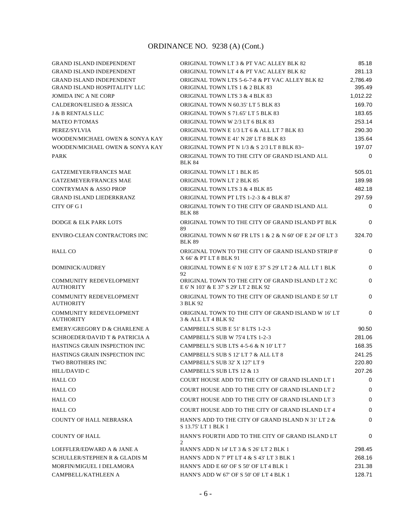| <b>GRAND ISLAND INDEPENDENT</b>                    | ORIGINAL TOWN LT 3 & PT VAC ALLEY BLK 82                                                   | 85.18    |
|----------------------------------------------------|--------------------------------------------------------------------------------------------|----------|
| <b>GRAND ISLAND INDEPENDENT</b>                    | ORIGINAL TOWN LT 4 & PT VAC ALLEY BLK 82                                                   | 281.13   |
| <b>GRAND ISLAND INDEPENDENT</b>                    | ORIGINAL TOWN LTS 5-6-7-8 & PT VAC ALLEY BLK 82                                            | 2,786.49 |
| <b>GRAND ISLAND HOSPITALITY LLC</b>                | ORIGINAL TOWN LTS 1 & 2 BLK 83                                                             | 395.49   |
| <b>JOMIDA INC A NE CORP</b>                        | ORIGINAL TOWN LTS 3 & 4 BLK 83                                                             | 1.012.22 |
| <b>CALDERON/ELISEO &amp; JESSICA</b>               | ORIGINAL TOWN N 60.35' LT 5 BLK 83                                                         | 169.70   |
| <b>J &amp; B RENTALS LLC</b>                       | ORIGINAL TOWN S 71.65' LT 5 BLK 83                                                         | 183.65   |
| <b>MATEO P/TOMAS</b>                               | ORIGINAL TOWN W 2/3 LT 6 BLK 83                                                            | 253.14   |
| PEREZ/SYLVIA                                       | ORIGINAL TOWN E 1/3 LT 6 & ALL LT 7 BLK 83                                                 | 290.30   |
| WOODEN/MICHAEL OWEN & SONYA KAY                    | ORIGINAL TOWN E 41' N 28' LT 8 BLK 83                                                      | 135.64   |
| WOODEN/MICHAEL OWEN & SONYA KAY                    | ORIGINAL TOWN PT N 1/3 & S 2/3 LT 8 BLK 83~                                                | 197.07   |
| PARK                                               | ORIGINAL TOWN TO THE CITY OF GRAND ISLAND ALL<br><b>BLK 84</b>                             | 0        |
| <b>GATZEMEYER/FRANCES MAE</b>                      | ORIGINAL TOWN LT 1 BLK 85                                                                  | 505.01   |
| <b>GATZEMEYER/FRANCES MAE</b>                      | <b>ORIGINAL TOWN LT 2 BLK 85</b>                                                           | 189.98   |
| <b>CONTRYMAN &amp; ASSO PROP</b>                   | ORIGINAL TOWN LTS 3 & 4 BLK 85                                                             | 482.18   |
| <b>GRAND ISLAND LIEDERKRANZ</b>                    | ORIGINAL TOWN PT LTS 1-2-3 & 4 BLK 87                                                      | 297.59   |
| CITY OF G I                                        | ORIGINAL TOWN TO THE CITY OF GRAND ISLAND ALL<br><b>BLK 88</b>                             | $\Omega$ |
| DODGE & ELK PARK LOTS                              | ORIGINAL TOWN TO THE CITY OF GRAND ISLAND PT BLK<br>89                                     | $\Omega$ |
| <b>ENVIRO-CLEAN CONTRACTORS INC</b>                | ORIGINAL TOWN N 60' FR LTS 1 & 2 & N 60' OF E 24' OF LT 3<br><b>BLK 89</b>                 | 324.70   |
| HALL CO                                            | ORIGINAL TOWN TO THE CITY OF GRAND ISLAND STRIP 8'<br>X 66' & PT LT 8 BLK 91               | 0        |
| DOMINICK/AUDREY                                    | ORIGINAL TOWN E 6' N 103' E 37' S 29' LT 2 & ALL LT 1 BLK<br>92                            | $\Omega$ |
| <b>COMMUNITY REDEVELOPMENT</b><br><b>AUTHORITY</b> | ORIGINAL TOWN TO THE CITY OF GRAND ISLAND LT 2 XC<br>E 6' N 103' & E 37' S 29' LT 2 BLK 92 | 0        |
| <b>COMMUNITY REDEVELOPMENT</b><br><b>AUTHORITY</b> | ORIGINAL TOWN TO THE CITY OF GRAND ISLAND E 50' LT<br>3 BLK 92                             | 0        |
| <b>COMMUNITY REDEVELOPMENT</b><br><b>AUTHORITY</b> | ORIGINAL TOWN TO THE CITY OF GRAND ISLAND W 16'LT<br>3 & ALL LT 4 BLK 92                   | $\Omega$ |
| EMERY/GREGORY D & CHARLENE A                       | CAMPBELL'S SUB E 51' 8 LTS 1-2-3                                                           | 90.50    |
| SCHROEDER/DAVID T & PATRICIA A                     | CAMPBELL'S SUB W 75'4 LTS 1-2-3                                                            | 281.06   |
| HASTINGS GRAIN INSPECTION INC                      | CAMPBELL'S SUB LTS 4-5-6 & N 10' LT 7                                                      | 168.35   |
| HASTINGS GRAIN INSPECTION INC                      | CAMPBELL'S SUB S 12' LT 7 & ALL LT 8                                                       | 241.25   |
| <b>TWO BROTHERS INC</b>                            | CAMPBELL'S SUB 32' X 127' LT 9                                                             | 220.80   |
| <b>HILL/DAVID C</b>                                | CAMPBELL'S SUB LTS 12 & 13                                                                 | 207.26   |
| HALL CO                                            | COURT HOUSE ADD TO THE CITY OF GRAND ISLAND LT 1                                           | $\Omega$ |
| <b>HALL CO</b>                                     | COURT HOUSE ADD TO THE CITY OF GRAND ISLAND LT 2                                           | 0        |
| <b>HALL CO</b>                                     | COURT HOUSE ADD TO THE CITY OF GRAND ISLAND LT 3                                           | $\Omega$ |
| <b>HALL CO</b>                                     | COURT HOUSE ADD TO THE CITY OF GRAND ISLAND LT 4                                           | 0        |
| <b>COUNTY OF HALL NEBRASKA</b>                     | HANN'S ADD TO THE CITY OF GRAND ISLAND N 31' LT 2 &<br>S 13.75' LT 1 BLK 1                 | $\Omega$ |
| <b>COUNTY OF HALL</b>                              | HANN'S FOURTH ADD TO THE CITY OF GRAND ISLAND LT<br>2                                      | 0        |
| LOEFFLER/EDWARD A & JANE A                         | HANN'S ADD N 14' LT 3 & S 26' LT 2 BLK 1                                                   | 298.45   |
| <b>SCHULLER/STEPHEN R &amp; GLADIS M</b>           | HANN'S ADD N 7' PT LT 4 & S 43' LT 3 BLK 1                                                 | 268.16   |
| MORFIN/MIGUEL I DELAMORA                           | HANN'S ADD E 60' OF S 50' OF LT 4 BLK 1                                                    | 231.38   |
| CAMPBELL/KATHLEEN A                                | HANN'S ADD W 67' OF S 50' OF LT 4 BLK 1                                                    | 128.71   |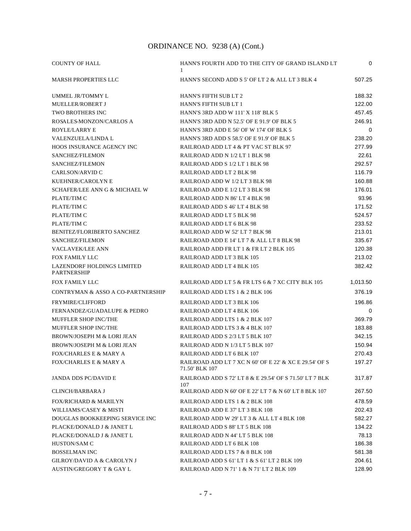| <b>COUNTY OF HALL</b>                            | HANN'S FOURTH ADD TO THE CITY OF GRAND ISLAND LT<br>1                    | 0           |
|--------------------------------------------------|--------------------------------------------------------------------------|-------------|
| <b>MARSH PROPERTIES LLC</b>                      | HANN'S SECOND ADD S 5' OF LT 2 & ALL LT 3 BLK 4                          | 507.25      |
| UMMEL JR/TOMMY L                                 | <b>HANN'S FIFTH SUB LT 2</b>                                             | 188.32      |
| <b>MUELLER/ROBERT J</b>                          | HANN'S FIFTH SUB LT 1                                                    | 122.00      |
| <b>TWO BROTHERS INC</b>                          | HANN'S 3RD ADD W 111' X 118' BLK 5                                       | 457.45      |
| ROSALES-MONZON/CARLOS A                          | HANN'S 3RD ADD N 52.5' OF E 91.9' OF BLK 5                               | 246.91      |
| ROYLE/LARRY E                                    | HANN'S 3RD ADD E 56' OF W 174' OF BLK 5                                  | $\mathbf 0$ |
| VALENZUELA/LINDA L                               | HANN'S 3RD ADD S 58.5' OF E 91.9' OF BLK 5                               | 238.20      |
| HOOS INSURANCE AGENCY INC                        | RAILROAD ADD LT 4 & PT VAC ST BLK 97                                     | 277.99      |
| SANCHEZ/FILEMON                                  | RAILROAD ADD N 1/2 LT 1 BLK 98                                           | 22.61       |
| SANCHEZ/FILEMON                                  | RAILROAD ADD S 1/2 LT 1 BLK 98                                           | 292.57      |
| CARLSON/ARVID C                                  | RAILROAD ADD LT 2 BLK 98                                                 | 116.79      |
| KUEHNER/CAROLYN E                                | RAILROAD ADD W 1/2 LT 3 BLK 98                                           | 160.88      |
| SCHAFER/LEE ANN G & MICHAEL W                    | RAILROAD ADD E 1/2 LT 3 BLK 98                                           | 176.01      |
| PLATE/TIM C                                      | RAILROAD ADD N 86' LT 4 BLK 98                                           | 93.96       |
| PLATE/TIM C                                      | RAILROAD ADD S 46' LT 4 BLK 98                                           | 171.52      |
| PLATE/TIM C                                      | RAILROAD ADD LT 5 BLK 98                                                 | 524.57      |
| PLATE/TIM C                                      | RAILROAD ADD LT 6 BLK 98                                                 | 233.52      |
| <b>BENITEZ/FLORIBERTO SANCHEZ</b>                | RAILROAD ADD W 52' LT 7 BLK 98                                           | 213.01      |
| SANCHEZ/FILEMON                                  | RAILROAD ADD E 14' LT 7 & ALL LT 8 BLK 98                                | 335.67      |
| <b>VACLAVEK/LEE ANN</b>                          | RAILROAD ADD FR LT 1 & FR LT 2 BLK 105                                   | 120.38      |
| FOX FAMILY LLC                                   | RAILROAD ADD LT 3 BLK 105                                                | 213.02      |
| LAZENDORF HOLDINGS LIMITED<br><b>PARTNERSHIP</b> | RAILROAD ADD LT 4 BLK 105                                                | 382.42      |
| FOX FAMILY LLC                                   | RAILROAD ADD LT 5 & FR LTS 6 & 7 XC CITY BLK 105                         | 1,013.50    |
| CONTRYMAN & ASSO A CO-PARTNERSHIP                | RAILROAD ADD LTS 1 & 2 BLK 106                                           | 376.19      |
| <b>FRYMIRE/CLIFFORD</b>                          | RAILROAD ADD LT 3 BLK 106                                                | 196.86      |
| FERNANDEZ/GUADALUPE & PEDRO                      | RAILROAD ADD LT 4 BLK 106                                                | 0           |
| MUFFLER SHOP INC/THE                             | RAILROAD ADD LTS 1 & 2 BLK 107                                           | 369.79      |
| MUFFLER SHOP INC/THE                             | RAILROAD ADD LTS 3 & 4 BLK 107                                           | 183.88      |
| <b>BROWN/JOSEPH M &amp; LORI JEAN</b>            | RAILROAD ADD S 2/3 LT 5 BLK 107                                          | 342.15      |
| <b>BROWN/JOSEPH M &amp; LORI JEAN</b>            | RAILROAD ADD N 1/3 LT 5 BLK 107                                          | 150.94      |
| <b>FOX/CHARLES E &amp; MARY A</b>                | RAILROAD ADD LT 6 BLK 107                                                | 270.43      |
| <b>FOX/CHARLES E &amp; MARY A</b>                | RAILROAD ADD LT 7 XC N 60' OF E 22' & XC E 29.54' OF S<br>71.50' BLK 107 | 197.27      |
| <b>JANDA DDS PC/DAVID E</b>                      | RAILROAD ADD S 72' LT 8 & E 29.54' OF S 71.50' LT 7 BLK<br>107           | 317.87      |
| <b>CLINCH/BARBARA J</b>                          | RAILROAD ADD N 60' OF E 22' LT 7 & N 60' LT 8 BLK 107                    | 267.50      |
| <b>FOX/RICHARD &amp; MARILYN</b>                 | RAILROAD ADD LTS 1 & 2 BLK 108                                           | 478.59      |
| WILLIAMS/CASEY & MISTI                           | RAILROAD ADD E 37' LT 3 BLK 108                                          | 202.43      |
| DOUGLAS BOOKKEEPING SERVICE INC                  | RAILROAD ADD W 29' LT 3 & ALL LT 4 BLK 108                               | 582.27      |
| PLACKE/DONALD J & JANET L                        | RAILROAD ADD S 88' LT 5 BLK 108                                          | 134.22      |
| PLACKE/DONALD J & JANET L                        | RAILROAD ADD N 44' LT 5 BLK 108                                          | 78.13       |
| HUSTON/SAM C                                     | RAILROAD ADD LT 6 BLK 108                                                | 186.38      |
| <b>BOSSELMAN INC</b>                             | RAILROAD ADD LTS 7 & 8 BLK 108                                           | 581.38      |
| <b>GILROY/DAVID A &amp; CAROLYN J</b>            | RAILROAD ADD S 61' LT 1 & S 61' LT 2 BLK 109                             | 204.61      |
| <b>AUSTIN/GREGORY T &amp; GAY L</b>              | RAILROAD ADD N 71' 1 & N 71' LT 2 BLK 109                                | 128.90      |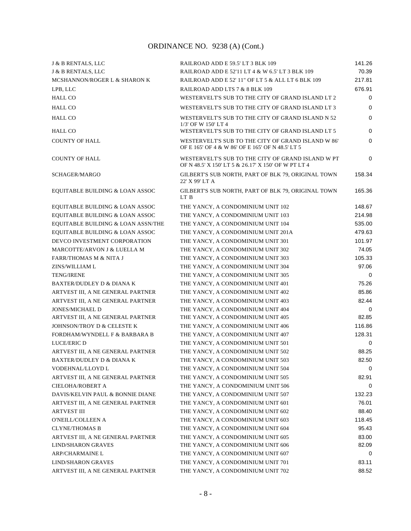| <b>J &amp; B RENTALS, LLC</b>        | RAILROAD ADD E 59.5' LT 3 BLK 109                                                                        | 141.26      |
|--------------------------------------|----------------------------------------------------------------------------------------------------------|-------------|
| J & B RENTALS, LLC                   | RAILROAD ADD E 52'11 LT 4 & W 6.5' LT 3 BLK 109                                                          | 70.39       |
| MCSHANNON/ROGER L & SHARON K         | RAILROAD ADD E 52' 11" OF LT 5 & ALL LT 6 BLK 109                                                        | 217.81      |
| LPB, LLC                             | RAILROAD ADD LTS 7 & 8 BLK 109                                                                           | 676.91      |
| <b>HALL CO</b>                       | WESTERVELT'S SUB TO THE CITY OF GRAND ISLAND LT 2                                                        | 0           |
| <b>HALL CO</b>                       | WESTERVELT'S SUB TO THE CITY OF GRAND ISLAND LT 3                                                        | 0           |
| <b>HALL CO</b>                       | WESTERVELT'S SUB TO THE CITY OF GRAND ISLAND N 52<br>1/3' OF W 150' LT 4                                 | $\mathbf 0$ |
| <b>HALL CO</b>                       | WESTERVELT'S SUB TO THE CITY OF GRAND ISLAND LT 5                                                        | $\mathbf 0$ |
| <b>COUNTY OF HALL</b>                | WESTERVELT'S SUB TO THE CITY OF GRAND ISLAND W 86'<br>OF E 165' OF 4 & W 86' OF E 165' OF N 48.5' LT 5   | $\mathbf 0$ |
| <b>COUNTY OF HALL</b>                | WESTERVELT'S SUB TO THE CITY OF GRAND ISLAND W PT<br>OF N 48.5' X 150' LT 5 & 26.17' X 150' OF W PT LT 4 | 0           |
| SCHAGER/MARGO                        | GILBERT'S SUB NORTH, PART OF BLK 79, ORIGINAL TOWN<br>22' X 99' LT A                                     | 158.34      |
| EQUITABLE BUILDING & LOAN ASSOC      | GILBERT'S SUB NORTH, PART OF BLK 79, ORIGINAL TOWN<br>LT B                                               | 165.36      |
| EQUITABLE BUILDING & LOAN ASSOC      | THE YANCY, A CONDOMINIUM UNIT 102                                                                        | 148.67      |
| EQUITABLE BUILDING & LOAN ASSOC      | THE YANCY, A CONDOMINIUM UNIT 103                                                                        | 214.98      |
| EQUITABLE BUILDING & LOAN ASSN/THE   | THE YANCY, A CONDOMINIUM UNIT 104                                                                        | 535.00      |
| EQUITABLE BUILDING & LOAN ASSOC      | THE YANCY, A CONDOMINIUM UNIT 201A                                                                       | 479.63      |
| DEVCO INVESTMENT CORPORATION         | THE YANCY, A CONDOMINIUM UNIT 301                                                                        | 101.97      |
| MARCOTTE/ARVON J & LUELLA M          | THE YANCY, A CONDOMINIUM UNIT 302                                                                        | 74.05       |
| <b>FARR/THOMAS M &amp; NITA J</b>    | THE YANCY, A CONDOMINIUM UNIT 303                                                                        | 105.33      |
| ZINS/WILLIAM L                       | THE YANCY, A CONDOMINIUM UNIT 304                                                                        | 97.06       |
| <b>TENG/IRENE</b>                    | THE YANCY, A CONDOMINIUM UNIT 305                                                                        | 0           |
| <b>BAXTER/DUDLEY D &amp; DIANA K</b> | THE YANCY, A CONDOMINIUM UNIT 401                                                                        | 75.26       |
| ARTVEST III, A NE GENERAL PARTNER    | THE YANCY, A CONDOMINIUM UNIT 402                                                                        | 85.86       |
| ARTVEST III, A NE GENERAL PARTNER    | THE YANCY, A CONDOMINIUM UNIT 403                                                                        | 82.44       |
| <b>JONES/MICHAEL D</b>               | THE YANCY, A CONDOMINIUM UNIT 404                                                                        | 0           |
| ARTVEST III, A NE GENERAL PARTNER    | THE YANCY, A CONDOMINIUM UNIT 405                                                                        | 82.85       |
| JOHNSON/TROY D & CELESTE K           | THE YANCY, A CONDOMINIUM UNIT 406                                                                        | 116.86      |
| FORDHAM/WYNDELL F & BARBARA B        | THE YANCY, A CONDOMINIUM UNIT 407                                                                        | 128.31      |
| <b>LUCE/ERIC D</b>                   | THE YANCY, A CONDOMINIUM UNIT 501                                                                        | 0           |
| ARTVEST III, A NE GENERAL PARTNER    | THE YANCY, A CONDOMINIUM UNIT 502                                                                        | 88.25       |
| BAXTER/DUDLEY D & DIANA K            | THE YANCY, A CONDOMINIUM UNIT 503                                                                        | 82.50       |
| VODEHNAL/LLOYD L                     | THE YANCY, A CONDOMINIUM UNIT 504                                                                        | 0           |
| ARTVEST III, A NE GENERAL PARTNER    | THE YANCY, A CONDOMINIUM UNIT 505                                                                        | 82.91       |
| <b>CIELOHA/ROBERT A</b>              | THE YANCY, A CONDOMINIUM UNIT 506                                                                        | 0           |
| DAVIS/KELVIN PAUL & BONNIE DIANE     | THE YANCY, A CONDOMINIUM UNIT 507                                                                        | 132.23      |
| ARTVEST III, A NE GENERAL PARTNER    | THE YANCY, A CONDOMINIUM UNIT 601                                                                        | 76.01       |
| <b>ARTVEST III</b>                   | THE YANCY, A CONDOMINIUM UNIT 602                                                                        | 88.40       |
| O'NEILL/COLLEEN A                    | THE YANCY, A CONDOMINIUM UNIT 603                                                                        | 118.45      |
| <b>CLYNE/THOMAS B</b>                | THE YANCY, A CONDOMINIUM UNIT 604                                                                        | 95.43       |
| ARTVEST III, A NE GENERAL PARTNER    | THE YANCY, A CONDOMINIUM UNIT 605                                                                        | 83.00       |
| <b>LIND/SHARON GRAVES</b>            | THE YANCY, A CONDOMINIUM UNIT 606                                                                        | 82.09       |
| <b>ARP/CHARMAINE L</b>               | THE YANCY, A CONDOMINIUM UNIT 607                                                                        | $\Omega$    |
| <b>LIND/SHARON GRAVES</b>            | THE YANCY, A CONDOMINIUM UNIT 701                                                                        | 83.11       |
| ARTVEST III, A NE GENERAL PARTNER    | THE YANCY, A CONDOMINIUM UNIT 702                                                                        | 88.52       |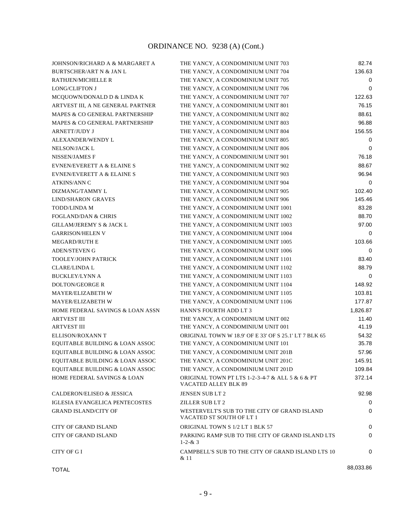| JOHNSON/RICHARD A & MARGARET A         | THE YANCY, A CONDOMINIUM UNIT 703                                        | 82.74     |
|----------------------------------------|--------------------------------------------------------------------------|-----------|
| <b>BURTSCHER/ART N &amp; JAN L</b>     | THE YANCY, A CONDOMINIUM UNIT 704                                        | 136.63    |
| RATHJEN/MICHELLE R                     | THE YANCY, A CONDOMINIUM UNIT 705                                        | 0         |
| <b>LONG/CLIFTON J</b>                  | THE YANCY, A CONDOMINIUM UNIT 706                                        | $\Omega$  |
| MCQUOWN/DONALD D & LINDA K             | THE YANCY, A CONDOMINIUM UNIT 707                                        | 122.63    |
| ARTVEST III, A NE GENERAL PARTNER      | THE YANCY, A CONDOMINIUM UNIT 801                                        | 76.15     |
| MAPES & CO GENERAL PARTNERSHIP         | THE YANCY, A CONDOMINIUM UNIT 802                                        | 88.61     |
| MAPES & CO GENERAL PARTNERSHIP         | THE YANCY, A CONDOMINIUM UNIT 803                                        | 96.88     |
| <b>ARNETT/JUDY J</b>                   | THE YANCY, A CONDOMINIUM UNIT 804                                        | 156.55    |
| ALEXANDER/WENDY L                      | THE YANCY, A CONDOMINIUM UNIT 805                                        | 0         |
| <b>NELSON/JACK L</b>                   | THE YANCY, A CONDOMINIUM UNIT 806                                        | $\Omega$  |
| <b>NISSEN/JAMES F</b>                  | THE YANCY, A CONDOMINIUM UNIT 901                                        | 76.18     |
| EVNEN/EVERETT A & ELAINE S             | THE YANCY, A CONDOMINIUM UNIT 902                                        | 88.67     |
| <b>EVNEN/EVERETT A &amp; ELAINE S</b>  | THE YANCY, A CONDOMINIUM UNIT 903                                        | 96.94     |
| <b>ATKINS/ANN C</b>                    | THE YANCY, A CONDOMINIUM UNIT 904                                        | $\Omega$  |
| DIZMANG/TAMMY L                        | THE YANCY, A CONDOMINIUM UNIT 905                                        | 102.40    |
| <b>LIND/SHARON GRAVES</b>              | THE YANCY, A CONDOMINIUM UNIT 906                                        | 145.46    |
| <b>TODD/LINDA M</b>                    | THE YANCY, A CONDOMINIUM UNIT 1001                                       | 83.28     |
| <b>FOGLAND/DAN &amp; CHRIS</b>         | THE YANCY, A CONDOMINIUM UNIT 1002                                       | 88.70     |
| <b>GILLAM/JEREMY S &amp; JACK L</b>    | THE YANCY, A CONDOMINIUM UNIT 1003                                       | 97.00     |
| <b>GARRISON/HELEN V</b>                | THE YANCY, A CONDOMINIUM UNIT 1004                                       | 0         |
| <b>MEGARD/RUTH E</b>                   | THE YANCY, A CONDOMINIUM UNIT 1005                                       | 103.66    |
| <b>ADEN/STEVEN G</b>                   | THE YANCY, A CONDOMINIUM UNIT 1006                                       | 0         |
| <b>TOOLEY/JOHN PATRICK</b>             | THE YANCY, A CONDOMINIUM UNIT 1101                                       | 83.40     |
| <b>CLARE/LINDA L</b>                   | THE YANCY, A CONDOMINIUM UNIT 1102                                       | 88.79     |
| <b>BUCKLEY/LYNN A</b>                  | THE YANCY, A CONDOMINIUM UNIT 1103                                       | 0         |
| <b>DOLTON/GEORGE R</b>                 | THE YANCY, A CONDOMINIUM UNIT 1104                                       | 148.92    |
| MAYER/ELIZABETH W                      |                                                                          | 103.81    |
| MAYER/ELIZABETH W                      | THE YANCY, A CONDOMINIUM UNIT 1105<br>THE YANCY, A CONDOMINIUM UNIT 1106 | 177.87    |
| HOME FEDERAL SAVINGS & LOAN ASSN       | <b>HANN'S FOURTH ADD LT 3</b>                                            | 1,826.87  |
| <b>ARTVEST III</b>                     | THE YANCY, A CONDOMINIUM UNIT 002                                        | 11.40     |
| <b>ARTVEST III</b>                     | THE YANCY, A CONDOMINIUM UNIT 001                                        | 41.19     |
| ELLISON/ROXANN T                       | ORIGINAL TOWN W 18.9' OF E 33' OF S 25.1' LT 7 BLK 65                    | 54.32     |
| EQUITABLE BUILDING & LOAN ASSOC        | THE YANCY, A CONDOMINIUM UNIT 101                                        | 35.78     |
| EQUITABLE BUILDING & LOAN ASSOC        | THE YANCY, A CONDOMINIUM UNIT 201B                                       | 57.96     |
| EQUITABLE BUILDING & LOAN ASSOC        | THE YANCY, A CONDOMINIUM UNIT 201C                                       | 145.91    |
| EQUITABLE BUILDING & LOAN ASSOC        |                                                                          | 109.84    |
|                                        | THE YANCY, A CONDOMINIUM UNIT 201D                                       | 372.14    |
| <b>HOME FEDERAL SAVINGS &amp; LOAN</b> | ORIGINAL TOWN PT LTS 1-2-3-4-7 & ALL 5 & 6 & PT<br>VACATED ALLEY BLK 89  |           |
| <b>CALDERON/ELISEO &amp; JESSICA</b>   | JENSEN SUB LT 2                                                          | 92.98     |
| <b>IGLESIA EVANGELICA PENTECOSTES</b>  | <b>ZILLER SUB LT 2</b>                                                   | 0         |
| <b>GRAND ISLAND/CITY OF</b>            | WESTERVELT'S SUB TO THE CITY OF GRAND ISLAND<br>VACATED ST SOUTH OF LT 1 | 0         |
| <b>CITY OF GRAND ISLAND</b>            | ORIGINAL TOWN S 1/2 LT 1 BLK 57                                          | 0         |
| <b>CITY OF GRAND ISLAND</b>            | PARKING RAMP SUB TO THE CITY OF GRAND ISLAND LTS<br>$1 - 2 - 8 = 3$      | 0         |
| <b>CITY OF GI</b>                      | CAMPBELL'S SUB TO THE CITY OF GRAND ISLAND LTS 10<br>& 11                | 0         |
| <b>TOTAL</b>                           |                                                                          | 88,033.86 |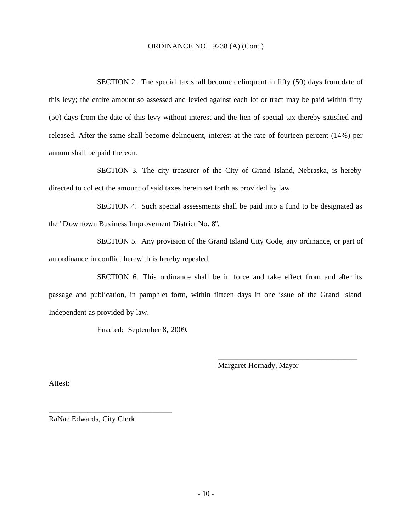SECTION 2. The special tax shall become delinquent in fifty (50) days from date of this levy; the entire amount so assessed and levied against each lot or tract may be paid within fifty (50) days from the date of this levy without interest and the lien of special tax thereby satisfied and released. After the same shall become delinquent, interest at the rate of fourteen percent (14%) per annum shall be paid thereon.

SECTION 3. The city treasurer of the City of Grand Island, Nebraska, is hereby directed to collect the amount of said taxes herein set forth as provided by law.

SECTION 4. Such special assessments shall be paid into a fund to be designated as the "Downtown Business Improvement District No. 8".

SECTION 5. Any provision of the Grand Island City Code, any ordinance, or part of an ordinance in conflict herewith is hereby repealed.

SECTION 6. This ordinance shall be in force and take effect from and after its passage and publication, in pamphlet form, within fifteen days in one issue of the Grand Island Independent as provided by law.

Enacted: September 8, 2009.

Margaret Hornady, Mayor

\_\_\_\_\_\_\_\_\_\_\_\_\_\_\_\_\_\_\_\_\_\_\_\_\_\_\_\_\_\_\_\_\_\_\_\_

Attest:

RaNae Edwards, City Clerk

\_\_\_\_\_\_\_\_\_\_\_\_\_\_\_\_\_\_\_\_\_\_\_\_\_\_\_\_\_\_\_\_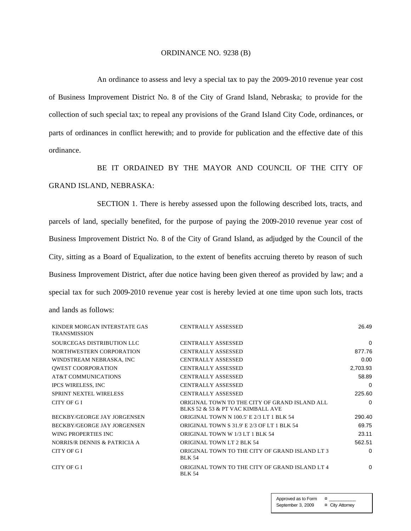#### ORDINANCE NO. 9238 (B)

An ordinance to assess and levy a special tax to pay the 2009-2010 revenue year cost of Business Improvement District No. 8 of the City of Grand Island, Nebraska; to provide for the collection of such special tax; to repeal any provisions of the Grand Island City Code, ordinances, or parts of ordinances in conflict herewith; and to provide for publication and the effective date of this ordinance.

BE IT ORDAINED BY THE MAYOR AND COUNCIL OF THE CITY OF GRAND ISLAND, NEBRASKA:

SECTION 1. There is hereby assessed upon the following described lots, tracts, and parcels of land, specially benefited, for the purpose of paying the 2009-2010 revenue year cost of Business Improvement District No. 8 of the City of Grand Island, as adjudged by the Council of the City, sitting as a Board of Equalization, to the extent of benefits accruing thereto by reason of such Business Improvement District, after due notice having been given thereof as provided by law; and a special tax for such 2009-2010 revenue year cost is hereby levied at one time upon such lots, tracts and lands as follows:

| KINDER MORGAN INTERSTATE GAS<br><b>TRANSMISSION</b> | <b>CENTRALLY ASSESSED</b>                                                          | 26.49    |
|-----------------------------------------------------|------------------------------------------------------------------------------------|----------|
| SOURCEGAS DISTRIBUTION LLC                          | <b>CENTRALLY ASSESSED</b>                                                          | $\Omega$ |
| NORTHWESTERN CORPORATION                            | <b>CENTRALLY ASSESSED</b>                                                          | 877.76   |
| WINDSTREAM NEBRASKA, INC                            | <b>CENTRALLY ASSESSED</b>                                                          | 0.00     |
| <b>QWEST COORPORATION</b>                           | <b>CENTRALLY ASSESSED</b>                                                          | 2,703.93 |
| AT&T COMMUNICATIONS                                 | <b>CENTRALLY ASSESSED</b>                                                          | 58.89    |
| <b>IPCS WIRELESS, INC</b>                           | <b>CENTRALLY ASSESSED</b>                                                          | 0        |
| <b>SPRINT NEXTEL WIRELESS</b>                       | <b>CENTRALLY ASSESSED</b>                                                          | 225.60   |
| CITY OF GI                                          | ORIGINAL TOWN TO THE CITY OF GRAND ISLAND ALL<br>BLKS 52 & 53 & PT VAC KIMBALL AVE | $\Omega$ |
| BECKBY/GEORGE JAY JORGENSEN                         | <b>ORIGINAL TOWN N 100.5' E 2/3 LT 1 BLK 54</b>                                    | 290.40   |
| BECKBY/GEORGE JAY JORGENSEN                         | ORIGINAL TOWN S 31.9' E 2/3 OF LT 1 BLK 54                                         | 69.75    |
| WING PROPERTIES INC.                                | ORIGINAL TOWN W 1/3 LT 1 BLK 54                                                    | 23.11    |
| NORRIS/R DENNIS & PATRICIA A                        | ORIGINAL TOWN LT 2 BLK 54                                                          | 562.51   |
| CITY OF GI                                          | ORIGINAL TOWN TO THE CITY OF GRAND ISLAND LT 3<br><b>BLK 54</b>                    | $\Omega$ |
| CITY OF GI                                          | ORIGINAL TOWN TO THE CITY OF GRAND ISLAND LT 4<br><b>BLK 54</b>                    | 0        |

Approved as to Form  $\alpha$ September 3, 2009 ¤ City Attorney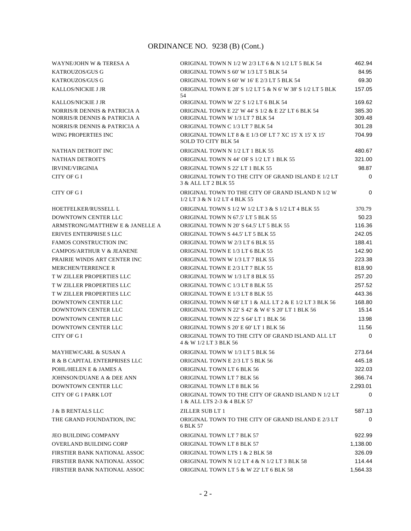| WAYNE/JOHN W & TERESA A                                      | ORIGINAL TOWN N 1/2 W 2/3 LT 6 & N 1/2 LT 5 BLK 54                                                            | 462.94           |
|--------------------------------------------------------------|---------------------------------------------------------------------------------------------------------------|------------------|
| <b>KATROUZOS/GUS G</b>                                       | ORIGINAL TOWN S 60' W 1/3 LT 5 BLK 54                                                                         | 84.95            |
| KATROUZOS/GUS G                                              | ORIGINAL TOWN S 60' W 16' E 2/3 LT 5 BLK 54                                                                   | 69.30            |
| <b>KALLOS/NICKIE J JR</b>                                    | ORIGINAL TOWN E 28' S 1/2 LT 5 & N 6' W 38' S 1/2 LT 5 BLK<br>54                                              | 157.05           |
| <b>KALLOS/NICKIE J JR</b>                                    | ORIGINAL TOWN W 22' S 1/2 LT 6 BLK 54                                                                         | 169.62           |
| NORRIS/R DENNIS & PATRICIA A<br>NORRIS/R DENNIS & PATRICIA A | ORIGINAL TOWN E 22' W 44' S 1/2 & E 22' LT 6 BLK 54<br>ORIGINAL TOWN W 1/3 LT 7 BLK 54                        | 385.30<br>309.48 |
| NORRIS/R DENNIS & PATRICIA A                                 | ORIGINAL TOWN C 1/3 LT 7 BLK 54                                                                               | 301.28           |
| WING PROPERTIES INC                                          | ORIGINAL TOWN LT 8 & E 1/3 OF LT 7 XC 15' X 15' X 15'<br><b>SOLD TO CITY BLK 54</b>                           | 704.99           |
| NATHAN DETROIT INC                                           | ORIGINAL TOWN N 1/2 LT 1 BLK 55                                                                               | 480.67           |
| <b>NATHAN DETROIT'S</b>                                      | ORIGINAL TOWN N 44' OF S 1/2 LT 1 BLK 55                                                                      | 321.00           |
| <b>IRVINE/VIRGINIA</b>                                       | ORIGINAL TOWN S 22' LT 1 BLK 55                                                                               | 98.87            |
| CITY OF G I                                                  | ORIGINAL TOWN TO THE CITY OF GRAND ISLAND E 1/2 LT<br>3 & ALL LT 2 BLK 55                                     | $\mathbf 0$      |
| CITY OF G I                                                  | ORIGINAL TOWN TO THE CITY OF GRAND ISLAND N 1/2 W<br>1/2 LT 3 & N 1/2 LT 4 BLK 55                             | 0                |
| HOETFELKER/RUSSELL L                                         | ORIGINAL TOWN S 1/2 W 1/2 LT 3 & S 1/2 LT 4 BLK 55                                                            | 370.79           |
| <b>DOWNTOWN CENTER LLC</b>                                   | ORIGINAL TOWN N 67.5' LT 5 BLK 55                                                                             | 50.23            |
| ARMSTRONG/MATTHEW E & JANELLE A                              | ORIGINAL TOWN N 20' S 64.5' LT 5 BLK 55                                                                       | 116.36           |
| ERIVES ENTERPRISE SLLC                                       | ORIGINAL TOWN S 44.5' LT 5 BLK 55                                                                             | 242.05           |
| <b>FAMOS CONSTRUCTION INC</b>                                | ORIGINAL TOWN W 2/3 LT 6 BLK 55                                                                               | 188.41           |
| <b>CAMPOS/ARTHUR V &amp; JEANENE</b>                         | ORIGINAL TOWN E 1/3 LT 6 BLK 55                                                                               | 142.90           |
| PRAIRIE WINDS ART CENTER INC                                 | ORIGINAL TOWN W 1/3 LT 7 BLK 55                                                                               | 223.38           |
| <b>MERCHEN/TERRENCE R</b>                                    | ORIGINAL TOWN E 2/3 LT 7 BLK 55                                                                               | 818.90           |
| <b>T W ZILLER PROPERTIES LLC</b>                             | ORIGINAL TOWN W 1/3 LT 8 BLK 55                                                                               | 257.20           |
| <b>TW ZILLER PROPERTIES LLC</b>                              | ORIGINAL TOWN C 1/3 LT 8 BLK 55                                                                               | 257.52           |
| T W ZILLER PROPERTIES LLC                                    | ORIGINAL TOWN E 1/3 LT 8 BLK 55                                                                               | 443.36           |
| <b>DOWNTOWN CENTER LLC</b><br>DOWNTOWN CENTER LLC            | ORIGINAL TOWN N 68' LT 1 & ALL LT 2 & E 1/2 LT 3 BLK 56<br>ORIGINAL TOWN N 22' S 42' & W 6' S 20' LT 1 BLK 56 | 168.80<br>15.14  |
| DOWNTOWN CENTER LLC                                          | ORIGINAL TOWN N 22' S 64' LT 1 BLK 56                                                                         | 13.98            |
| DOWNTOWN CENTER LLC                                          | ORIGINAL TOWN S 20' E 60' LT 1 BLK 56                                                                         | 11.56            |
| CITY OF G I                                                  | ORIGINAL TOWN TO THE CITY OF GRAND ISLAND ALL LT<br>4 & W 1/2 LT 3 BLK 56                                     | $\Omega$         |
| <b>MAYHEW/CARL &amp; SUSAN A</b>                             | ORIGINAL TOWN W 1/3 LT 5 BLK 56                                                                               | 273.64           |
| R & B CAPITAL ENTERPRISES LLC                                | ORIGINAL TOWN E 2/3 LT 5 BLK 56                                                                               | 445.18           |
| POHL/HELEN E & JAMES A                                       | ORIGINAL TOWN LT 6 BLK 56                                                                                     | 322.03           |
| JOHNSON/DUANE A & DEE ANN                                    | ORIGINAL TOWN LT 7 BLK 56                                                                                     | 366.74           |
| DOWNTOWN CENTER LLC                                          | ORIGINAL TOWN LT 8 BLK 56                                                                                     | 2,293.01         |
| <b>CITY OF G I PARK LOT</b>                                  | ORIGINAL TOWN TO THE CITY OF GRAND ISLAND N 1/2 LT<br>1 & ALL LTS 2-3 & 4 BLK 57                              | 0                |
| <b>J &amp; B RENTALS LLC</b>                                 | ZILLER SUB LT 1                                                                                               | 587.13           |
| THE GRAND FOUNDATION, INC                                    | ORIGINAL TOWN TO THE CITY OF GRAND ISLAND E 2/3 LT<br>6 BLK 57                                                | $\Omega$         |
| <b>JEO BUILDING COMPANY</b>                                  | ORIGINAL TOWN LT 7 BLK 57                                                                                     | 922.99           |
| <b>OVERLAND BUILDING CORP</b>                                | ORIGINAL TOWN LT 8 BLK 57                                                                                     | 1,138.00         |
| FIRSTIER BANK NATIONAL ASSOC                                 | ORIGINAL TOWN LTS 1 & 2 BLK 58                                                                                | 326.09           |
| FIRSTIER BANK NATIONAL ASSOC                                 | ORIGINAL TOWN N 1/2 LT 4 & N 1/2 LT 3 BLK 58                                                                  | 114.44           |
| FIRSTIER BANK NATIONAL ASSOC                                 | ORIGINAL TOWN LT 5 & W 22' LT 6 BLK 58                                                                        | 1,564.33         |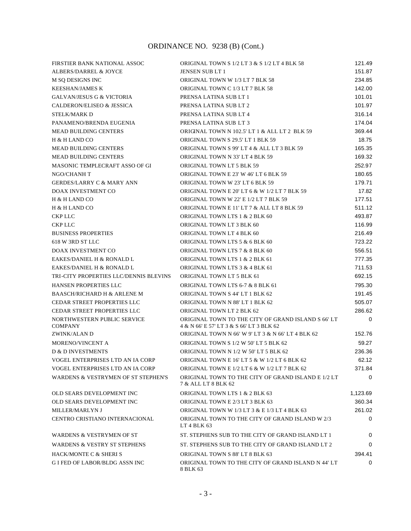| FIRSTIER BANK NATIONAL ASSOC                  | ORIGINAL TOWN S 1/2 LT 3 & S 1/2 LT 4 BLK 58                                                   | 121.49   |
|-----------------------------------------------|------------------------------------------------------------------------------------------------|----------|
| ALBERS/DARREL & JOYCE                         | <b>JENSEN SUB LT 1</b>                                                                         | 151.87   |
| M SQ DESIGNS INC                              | ORIGINAL TOWN W 1/3 LT 7 BLK 58                                                                | 234.85   |
| <b>KEESHAN/JAMES K</b>                        | ORIGINAL TOWN C 1/3 LT 7 BLK 58                                                                | 142.00   |
| <b>GALVAN/JESUS G &amp; VICTORIA</b>          | PRENSA LATINA SUB LT 1                                                                         | 101.01   |
| CALDERON/ELISEO & JESSICA                     | PRENSA LATINA SUB LT 2                                                                         | 101.97   |
| <b>STELK/MARK D</b>                           | PRENSA LATINA SUB LT 4                                                                         | 316.14   |
| PANAMENO/BRENDA EUGENIA                       | PRENSA LATINA SUB LT 3                                                                         | 174.04   |
| <b>MEAD BUILDING CENTERS</b>                  | ORIGINAL TOWN N 102.5' LT 1 & ALL LT 2 BLK 59                                                  | 369.44   |
| H & H LAND CO                                 | ORIGINAL TOWN S 29.5' LT 1 BLK 59                                                              | 18.75    |
| <b>MEAD BUILDING CENTERS</b>                  | ORIGINAL TOWN S 99' LT 4 & ALL LT 3 BLK 59                                                     | 165.35   |
| <b>MEAD BUILDING CENTERS</b>                  | ORIGINAL TOWN N 33' LT 4 BLK 59                                                                | 169.32   |
| MASONIC TEMPLECRAFT ASSO OF GI                | ORIGINAL TOWN LT 5 BLK 59                                                                      | 252.97   |
| NGO/CHANH T                                   | ORIGINAL TOWN E 23' W 46' LT 6 BLK 59                                                          | 180.65   |
| <b>GERDES/LARRY C &amp; MARY ANN</b>          | ORIGINAL TOWN W 23' LT 6 BLK 59                                                                | 179.71   |
| DOAX INVESTMENT CO                            | ORIGINAL TOWN E 20' LT 6 & W 1/2 LT 7 BLK 59                                                   | 17.82    |
| H & H LAND CO                                 | ORIGINAL TOWN W 22' E 1/2 LT 7 BLK 59                                                          | 177.51   |
| H & H LAND CO                                 | ORIGINAL TOWN E 11' LT 7 & ALL LT 8 BLK 59                                                     | 511.12   |
| <b>CKP LLC</b>                                | ORIGINAL TOWN LTS 1 & 2 BLK 60                                                                 | 493.87   |
| <b>CKP LLC</b>                                | ORIGINAL TOWN LT 3 BLK 60                                                                      | 116.99   |
| <b>BUSINESS PROPERTIES</b>                    | ORIGINAL TOWN LT 4 BLK 60                                                                      | 216.49   |
| 618 W 3RD ST LLC                              | ORIGINAL TOWN LTS 5 & 6 BLK 60                                                                 | 723.22   |
| <b>DOAX INVESTMENT CO</b>                     | ORIGINAL TOWN LTS 7 & 8 BLK 60                                                                 | 556.51   |
| EAKES/DANIEL H & RONALD L                     | ORIGINAL TOWN LTS 1 & 2 BLK 61                                                                 | 777.35   |
| EAKES/DANIEL H & RONALD L                     | ORIGINAL TOWN LTS 3 & 4 BLK 61                                                                 | 711.53   |
| TRI-CITY PROPERTIES LLC/DENNIS BLEVINS        | ORIGINAL TOWN LT 5 BLK 61                                                                      | 692.15   |
| <b>HANSEN PROPERTIES LLC</b>                  | ORIGINAL TOWN LTS 6-7 & 8 BLK 61                                                               | 795.30   |
| <b>BAASCH/RICHARD H &amp; ARLENE M</b>        | ORIGINAL TOWN S 44' LT 1 BLK 62                                                                | 191.45   |
| <b>CEDAR STREET PROPERTIES LLC</b>            | ORIGINAL TOWN N 88' LT 1 BLK 62                                                                | 505.07   |
| <b>CEDAR STREET PROPERTIES LLC</b>            | ORIGINAL TOWN LT 2 BLK 62                                                                      | 286.62   |
| NORTHWESTERN PUBLIC SERVICE<br><b>COMPANY</b> | ORIGINAL TOWN TO THE CITY OF GRAND ISLAND S 66' LT<br>4 & N 66' E 57' LT 3 & S 66' LT 3 BLK 62 | 0        |
| ZWINK/ALAN D                                  | ORIGINAL TOWN N 66' W 9' LT 3 & N 66' LT 4 BLK 62                                              | 152.76   |
| MORENO/VINCENT A                              | ORIGINAL TOWN S 1/2 W 50' LT 5 BLK 62                                                          | 59.27    |
| <b>D &amp; D INVESTMENTS</b>                  | ORIGINAL TOWN N 1/2 W 50' LT 5 BLK 62                                                          | 236.36   |
| VOGEL ENTERPRISES LTD AN IA CORP              | ORIGINAL TOWN E 16' LT 5 & W 1/2 LT 6 BLK 62                                                   | 62.12    |
| VOGEL ENTERPRISES LTD AN IA CORP              | ORIGINAL TOWN E 1/2 LT 6 & W 1/2 LT 7 BLK 62                                                   | 371.84   |
| WARDENS & VESTRYMEN OF ST STEPHEN'S           | ORIGINAL TOWN TO THE CITY OF GRAND ISLAND E 1/2 LT<br>7 & ALL LT 8 BLK 62                      | 0        |
| OLD SEARS DEVELOPMENT INC                     | ORIGINAL TOWN LTS 1 & 2 BLK 63                                                                 | 1,123.69 |
| OLD SEARS DEVELOPMENT INC                     | ORIGINAL TOWN E 2/3 LT 3 BLK 63                                                                | 360.34   |
| MILLER/MARLYN J                               | ORIGINAL TOWN W 1/3 LT 3 & E 1/3 LT 4 BLK 63                                                   | 261.02   |
| CENTRO CRISTIANO INTERNACIONAL                | ORIGINAL TOWN TO THE CITY OF GRAND ISLAND W 2/3<br>LT 4 BLK 63                                 | 0        |
| <b>WARDENS &amp; VESTRYMEN OF ST</b>          | ST. STEPHENS SUB TO THE CITY OF GRAND ISLAND LT 1                                              | 0        |
| <b>WARDENS &amp; VESTRY ST STEPHENS</b>       | ST. STEPHENS SUB TO THE CITY OF GRAND ISLAND LT 2                                              | 0        |
| <b>HACK/MONTE C &amp; SHERI S</b>             | ORIGINAL TOWN S 88' LT 8 BLK 63                                                                | 394.41   |
| <b>G I FED OF LABOR/BLDG ASSN INC</b>         | ORIGINAL TOWN TO THE CITY OF GRAND ISLAND N 44' LT<br>8 BLK 63                                 | $\Omega$ |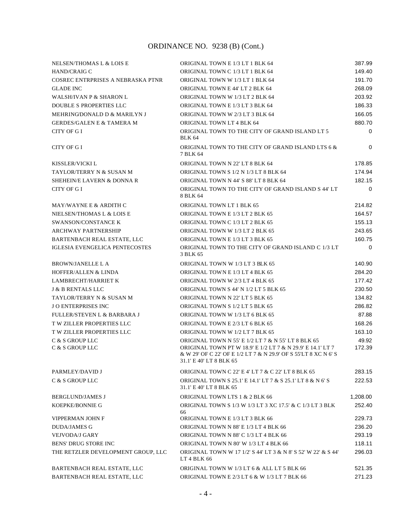| <b>NELSEN/THOMAS L &amp; LOIS E</b>    | ORIGINAL TOWN E 1/3 LT 1 BLK 64                                                                                                                                                                                | 387.99          |
|----------------------------------------|----------------------------------------------------------------------------------------------------------------------------------------------------------------------------------------------------------------|-----------------|
| HAND/CRAIG C                           | ORIGINAL TOWN C 1/3 LT 1 BLK 64                                                                                                                                                                                | 149.40          |
| COSREC ENTRPRISES A NEBRASKA PTNR      | ORIGINAL TOWN W 1/3 LT 1 BLK 64                                                                                                                                                                                | 191.70          |
| <b>GLADE INC</b>                       | ORIGINAL TOWN E 44' LT 2 BLK 64                                                                                                                                                                                | 268.09          |
| <b>WALSH/IVAN P &amp; SHARON L</b>     | ORIGINAL TOWN W 1/3 LT 2 BLK 64                                                                                                                                                                                | 203.92          |
| <b>DOUBLE S PROPERTIES LLC</b>         | ORIGINAL TOWN E 1/3 LT 3 BLK 64                                                                                                                                                                                | 186.33          |
| MEHRINGDONALD D & MARILYN J            | ORIGINAL TOWN W 2/3 LT 3 BLK 64                                                                                                                                                                                | 166.05          |
| <b>GERDES/GALEN E &amp; TAMERA M</b>   | ORIGINAL TOWN LT 4 BLK 64                                                                                                                                                                                      | 880.70          |
| CITY OF G I                            | ORIGINAL TOWN TO THE CITY OF GRAND ISLAND LT 5<br><b>BLK 64</b>                                                                                                                                                | $\mathbf 0$     |
| CITY OF G I                            | ORIGINAL TOWN TO THE CITY OF GRAND ISLAND LTS 6 &<br>7 BLK 64                                                                                                                                                  | $\Omega$        |
| KISSLER/VICKI L                        | ORIGINAL TOWN N 22' LT 8 BLK 64                                                                                                                                                                                | 178.85          |
| TAYLOR/TERRY N & SUSAN M               | ORIGINAL TOWN S 1/2 N 1/3 LT 8 BLK 64                                                                                                                                                                          | 174.94          |
| SHEHEIN/E LAVERN & DONNA R             | ORIGINAL TOWN N 44' S 88' LT 8 BLK 64                                                                                                                                                                          | 182.15          |
| CITY OF G I                            | ORIGINAL TOWN TO THE CITY OF GRAND ISLAND S 44' LT<br>8 BLK 64                                                                                                                                                 | 0               |
| MAY/WAYNE E & ARDITH C                 | ORIGINAL TOWN LT 1 BLK 65                                                                                                                                                                                      | 214.82          |
| NIELSEN/THOMAS L & LOIS E              | ORIGINAL TOWN E 1/3 LT 2 BLK 65                                                                                                                                                                                | 164.57          |
| <b>SWANSON/CONSTANCE K</b>             | ORIGINAL TOWN C 1/3 LT 2 BLK 65                                                                                                                                                                                | 155.13          |
| <b>ARCHWAY PARTNERSHIP</b>             | ORIGINAL TOWN W 1/3 LT 2 BLK 65                                                                                                                                                                                | 243.65          |
| <b>BARTENBACH REAL ESTATE, LLC</b>     | ORIGINAL TOWN E 1/3 LT 3 BLK 65                                                                                                                                                                                | 160.75          |
| <b>IGLESIA EVENGELICA PENTECOSTES</b>  | ORIGINAL TOWN TO THE CITY OF GRAND ISLAND C 1/3 LT<br>3 BLK 65                                                                                                                                                 | 0               |
| <b>BROWN/JANELLE L A</b>               | ORIGINAL TOWN W 1/3 LT 3 BLK 65                                                                                                                                                                                | 140.90          |
| <b>HOFFER/ALLEN &amp; LINDA</b>        | ORIGINAL TOWN E 1/3 LT 4 BLK 65                                                                                                                                                                                | 284.20          |
| <b>LAMBRECHT/HARRIET K</b>             | ORIGINAL TOWN W 2/3 LT 4 BLK 65                                                                                                                                                                                | 177.42          |
| <b>J &amp; B RENTALS LLC</b>           | ORIGINAL TOWN S 44' N 1/2 LT 5 BLK 65                                                                                                                                                                          | 230.50          |
| TAYLOR/TERRY N & SUSAN M               | ORIGINAL TOWN N 22' LT 5 BLK 65                                                                                                                                                                                | 134.82          |
| <b>JO ENTERPRISES INC</b>              | ORIGINAL TOWN S 1/2 LT 5 BLK 65                                                                                                                                                                                | 286.82          |
| <b>FULLER/STEVEN L &amp; BARBARA J</b> | ORIGINAL TOWN W 1/3 LT 6 BLK 65                                                                                                                                                                                | 87.88           |
| <b>T W ZILLER PROPERTIES LLC</b>       | ORIGINAL TOWN E 2/3 LT 6 BLK 65                                                                                                                                                                                | 168.26          |
| T W ZILLER PROPERTIES LLC              | ORIGINAL TOWN W 1/2 LT 7 BLK 65                                                                                                                                                                                | 163.10          |
| C & S GROUP LLC<br>C & S GROUP LLC     | ORIGINAL TOWN N 55' E 1/2 LT 7 & N 55' LT 8 BLK 65<br>ORIGINAL TOWN PT W 18.9' E 1/2 LT 7 & N 29.9' E 14.1' LT 7<br>& W 29' OF C 22' OF E 1/2 LT 7 & N 29.9' OF S 55'LT 8 XC N 6' S<br>31.1' E 40' LT 8 BLK 65 | 49.92<br>172.39 |
| PARMLEY/DAVID J                        | ORIGINAL TOWN C 22' E 4' LT 7 & C 22' LT 8 BLK 65                                                                                                                                                              | 283.15          |
| C & S GROUP LLC                        | ORIGINAL TOWN S 25.1' E 14.1' LT 7 & S 25.1' LT 8 & N 6' S<br>31.1' E 40' LT 8 BLK 65                                                                                                                          | 222.53          |
| <b>BERGLUND/JAMES J</b>                | ORIGINAL TOWN LTS 1 & 2 BLK 66                                                                                                                                                                                 | 1,208.00        |
| <b>KOEPKE/BONNIE G</b>                 | ORIGINAL TOWN S 1/3 W 1/3 LT 3 XC 17.5' & C 1/3 LT 3 BLK<br>66                                                                                                                                                 | 252.40          |
| VIPPERMAN JOHN F                       | ORIGINAL TOWN E 1/3 LT 3 BLK 66                                                                                                                                                                                | 229.73          |
| <b>DUDA/JAMES G</b>                    | ORIGINAL TOWN N 88' E 1/3 LT 4 BLK 66                                                                                                                                                                          | 236.20          |
| <b>VEJVODA/J GARY</b>                  | ORIGINAL TOWN N 88' C 1/3 LT 4 BLK 66                                                                                                                                                                          | 293.19          |
| <b>BENS' DRUG STORE INC</b>            | ORIGINAL TOWN N 80' W 1/3 LT 4 BLK 66                                                                                                                                                                          | 118.11          |
| THE RETZLER DEVELOPMENT GROUP, LLC     | ORIGINAL TOWN W 17 1/2' S 44' LT 3 & N 8' S 52' W 22' & S 44'<br>LT 4 BLK 66                                                                                                                                   | 296.03          |
| BARTENBACH REAL ESTATE, LLC            | ORIGINAL TOWN W 1/3 LT 6 & ALL LT 5 BLK 66                                                                                                                                                                     | 521.35          |
| BARTENBACH REAL ESTATE, LLC            | ORIGINAL TOWN E 2/3 LT 6 & W 1/3 LT 7 BLK 66                                                                                                                                                                   | 271.23          |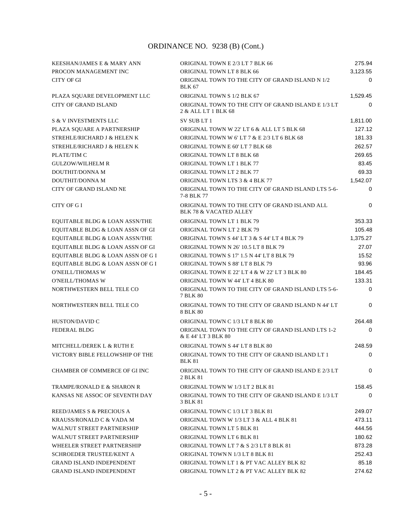| KEESHAN/JAMES E & MARY ANN            | ORIGINAL TOWN E 2/3 LT 7 BLK 66                                                    | 275.94      |
|---------------------------------------|------------------------------------------------------------------------------------|-------------|
| PROCON MANAGEMENT INC                 | ORIGINAL TOWN LT 8 BLK 66                                                          | 3,123.55    |
| CITY OF GI                            | ORIGINAL TOWN TO THE CITY OF GRAND ISLAND N 1/2<br><b>BLK 67</b>                   | 0           |
| PLAZA SQUARE DEVELOPMENT LLC          | ORIGINAL TOWN S 1/2 BLK 67                                                         | 1,529.45    |
| <b>CITY OF GRAND ISLAND</b>           | ORIGINAL TOWN TO THE CITY OF GRAND ISLAND E 1/3 LT<br>2 & ALL LT 1 BLK 68          | 0           |
| <b>S &amp; V INVESTMENTS LLC</b>      | SV SUB LT 1                                                                        | 1,811.00    |
| PLAZA SOUARE A PARTNERSHIP            | ORIGINAL TOWN W 22' LT 6 & ALL LT 5 BLK 68                                         | 127.12      |
| STREHLE/RICHARD J & HELEN K           | ORIGINAL TOWN W 6'LT 7 & E 2/3 LT 6 BLK 68                                         | 181.33      |
| STREHLE/RICHARD J & HELEN K           | ORIGINAL TOWN E 60' LT 7 BLK 68                                                    | 262.57      |
| PLATE/TIM C                           | ORIGINAL TOWN LT 8 BLK 68                                                          | 269.65      |
| <b>GULZOW/WILHELM R</b>               | ORIGINAL TOWN LT 1 BLK 77                                                          | 83.45       |
| DOUTHIT/DONNA M                       | ORIGINAL TOWN LT 2 BLK 77                                                          | 69.33       |
| DOUTHIT/DONNA M                       | ORIGINAL TOWN LTS 3 & 4 BLK 77                                                     | 1,542.07    |
| CITY OF GRAND ISLAND NE               | ORIGINAL TOWN TO THE CITY OF GRAND ISLAND LTS 5-6-<br>7-8 BLK 77                   | 0           |
| <b>CITY OF GI</b>                     | ORIGINAL TOWN TO THE CITY OF GRAND ISLAND ALL<br><b>BLK 78 &amp; VACATED ALLEY</b> | 0           |
| EQUITABLE BLDG & LOAN ASSN/THE        | <b>ORIGINAL TOWN LT 1 BLK 79</b>                                                   | 353.33      |
| EQUITABLE BLDG & LOAN ASSN OF GI      | ORIGINAL TOWN LT 2 BLK 79                                                          | 105.48      |
| EQUITABLE BLDG & LOAN ASSN/THE        | ORIGINAL TOWN S 44' LT 3 & S 44' LT 4 BLK 79                                       | 1,375.27    |
| EQUITABLE BLDG & LOAN ASSN OF GI      | ORIGINAL TOWN N 26' 10.5 LT 8 BLK 79                                               | 27.07       |
| EQUITABLE BLDG & LOAN ASSN OF G I     | ORIGINAL TOWN S 17' 1.5 N 44' LT 8 BLK 79                                          | 15.52       |
| EQUITABLE BLDG & LOAN ASSN OF G I     | ORIGINAL TOWN S 88' LT 8 BLK 79                                                    | 93.96       |
| <b>O'NEILL/THOMAS W</b>               | ORIGINAL TOWN E 22' LT 4 & W 22' LT 3 BLK 80                                       | 184.45      |
| <b>O'NEILL/THOMAS W</b>               | ORIGINAL TOWN W 44' LT 4 BLK 80                                                    | 133.31      |
| NORTHWESTERN BELL TELE CO             | ORIGINAL TOWN TO THE CITY OF GRAND ISLAND LTS 5-6-<br>7 BLK 80                     | $\mathbf 0$ |
| NORTHWESTERN BELL TELE CO             | ORIGINAL TOWN TO THE CITY OF GRAND ISLAND N 44' LT<br>8 BLK 80                     | 0           |
| HUSTON/DAVID C                        | ORIGINAL TOWN C 1/3 LT 8 BLK 80                                                    | 264.48      |
| <b>FEDERAL BLDG</b>                   | ORIGINAL TOWN TO THE CITY OF GRAND ISLAND LTS 1-2<br>& E 44' LT 3 BLK 80           | 0           |
| MITCHELL/DEREK L & RUTH E             | ORIGINAL TOWN S 44' LT 8 BLK 80                                                    | 248.59      |
| VICTORY BIBLE FELLOWSHIP OF THE       | ORIGINAL TOWN TO THE CITY OF GRAND ISLAND LT 1<br><b>BLK 81</b>                    | 0           |
| CHAMBER OF COMMERCE OF GI INC         | ORIGINAL TOWN TO THE CITY OF GRAND ISLAND E 2/3 LT<br>2 BLK 81                     | $\Omega$    |
| <b>TRAMPE/RONALD E &amp; SHARON R</b> | ORIGINAL TOWN W 1/3 LT 2 BLK 81                                                    | 158.45      |
| KANSAS NE ASSOC OF SEVENTH DAY        | ORIGINAL TOWN TO THE CITY OF GRAND ISLAND E 1/3 LT<br>3 BLK 81                     | $\Omega$    |
| REED/JAMES S & PRECIOUS A             | ORIGINAL TOWN C 1/3 LT 3 BLK 81                                                    | 249.07      |
| KRAUSS/RONALD C & VADA M              | ORIGINAL TOWN W 1/3 LT 3 & ALL 4 BLK 81                                            | 473.11      |
| <b>WALNUT STREET PARTNERSHIP</b>      | ORIGINAL TOWN LT 5 BLK 81                                                          | 444.56      |
| <b>WALNUT STREET PARTNERSHIP</b>      | ORIGINAL TOWN LT 6 BLK 81                                                          | 180.62      |
| WHEELER STREET PARTNERSHIP            | ORIGINAL TOWN LT 7 & S 2/3 LT 8 BLK 81                                             | 873.28      |
| SCHROEDER TRUSTEE/KENT A              | ORIGINAL TOWN N 1/3 LT 8 BLK 81                                                    | 252.43      |
| <b>GRAND ISLAND INDEPENDENT</b>       | ORIGINAL TOWN LT 1 & PT VAC ALLEY BLK 82                                           | 85.18       |
| <b>GRAND ISLAND INDEPENDENT</b>       | ORIGINAL TOWN LT 2 & PT VAC ALLEY BLK 82                                           | 274.62      |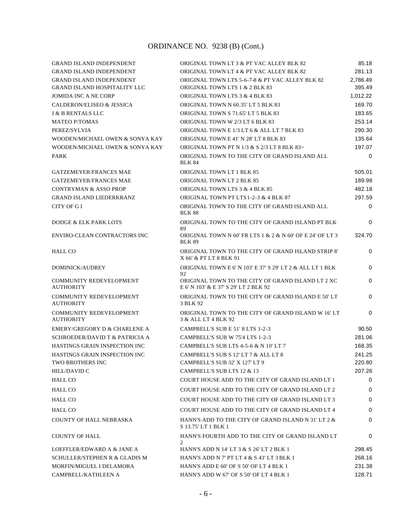| <b>GRAND ISLAND INDEPENDENT</b>                    | ORIGINAL TOWN LT 3 & PT VAC ALLEY BLK 82                                                   | 85.18              |
|----------------------------------------------------|--------------------------------------------------------------------------------------------|--------------------|
| <b>GRAND ISLAND INDEPENDENT</b>                    | ORIGINAL TOWN LT 4 & PT VAC ALLEY BLK 82                                                   | 281.13             |
| <b>GRAND ISLAND INDEPENDENT</b>                    | ORIGINAL TOWN LTS 5-6-7-8 & PT VAC ALLEY BLK 82                                            | 2,786.49           |
| <b>GRAND ISLAND HOSPITALITY LLC</b>                | ORIGINAL TOWN LTS 1 & 2 BLK 83                                                             | 395.49             |
| <b>JOMIDA INC A NE CORP</b>                        | ORIGINAL TOWN LTS 3 & 4 BLK 83                                                             | 1,012.22           |
| CALDERON/ELISEO & JESSICA                          | ORIGINAL TOWN N 60.35' LT 5 BLK 83                                                         | 169.70             |
| <b>J &amp; B RENTALS LLC</b>                       | ORIGINAL TOWN S 71.65' LT 5 BLK 83                                                         | 183.65             |
| <b>MATEO P/TOMAS</b>                               | ORIGINAL TOWN W 2/3 LT 6 BLK 83                                                            | 253.14             |
| PEREZ/SYLVIA                                       | ORIGINAL TOWN E 1/3 LT 6 & ALL LT 7 BLK 83                                                 | 290.30<br>135.64   |
| WOODEN/MICHAEL OWEN & SONYA KAY                    | ORIGINAL TOWN E 41' N 28' LT 8 BLK 83                                                      |                    |
| WOODEN/MICHAEL OWEN & SONYA KAY                    | ORIGINAL TOWN PT N 1/3 & S 2/3 LT 8 BLK 83~                                                | 197.07<br>$\Omega$ |
| <b>PARK</b>                                        | ORIGINAL TOWN TO THE CITY OF GRAND ISLAND ALL<br><b>BLK 84</b>                             |                    |
| <b>GATZEMEYER/FRANCES MAE</b>                      | ORIGINAL TOWN LT 1 BLK 85                                                                  | 505.01             |
| <b>GATZEMEYER/FRANCES MAE</b>                      | <b>ORIGINAL TOWN LT 2 BLK 85</b>                                                           | 189.98             |
| <b>CONTRYMAN &amp; ASSO PROP</b>                   | ORIGINAL TOWN LTS 3 & 4 BLK 85                                                             | 482.18             |
| <b>GRAND ISLAND LIEDERKRANZ</b>                    | ORIGINAL TOWN PT LTS 1-2-3 & 4 BLK 87                                                      | 297.59             |
| CITY OF G I                                        | ORIGINAL TOWN TO THE CITY OF GRAND ISLAND ALL<br><b>BLK 88</b>                             | $\Omega$           |
| <b>DODGE &amp; ELK PARK LOTS</b>                   | ORIGINAL TOWN TO THE CITY OF GRAND ISLAND PT BLK<br>89                                     | $\Omega$           |
| ENVIRO-CLEAN CONTRACTORS INC                       | ORIGINAL TOWN N 60' FR LTS 1 & 2 & N 60' OF E 24' OF LT 3<br><b>BLK 89</b>                 | 324.70             |
| HALL CO                                            | ORIGINAL TOWN TO THE CITY OF GRAND ISLAND STRIP 8'<br>X 66' & PT LT 8 BLK 91               | 0                  |
| <b>DOMINICK/AUDREY</b>                             | ORIGINAL TOWN E 6' N 103' E 37' S 29' LT 2 & ALL LT 1 BLK<br>92                            | $\Omega$           |
| <b>COMMUNITY REDEVELOPMENT</b><br><b>AUTHORITY</b> | ORIGINAL TOWN TO THE CITY OF GRAND ISLAND LT 2 XC<br>E 6' N 103' & E 37' S 29' LT 2 BLK 92 | $\Omega$           |
| <b>COMMUNITY REDEVELOPMENT</b><br><b>AUTHORITY</b> | ORIGINAL TOWN TO THE CITY OF GRAND ISLAND E 50' LT<br>3 BLK 92                             | $\Omega$           |
| <b>COMMUNITY REDEVELOPMENT</b><br><b>AUTHORITY</b> | ORIGINAL TOWN TO THE CITY OF GRAND ISLAND W 16'LT<br>3 & ALL LT 4 BLK 92                   | $\Omega$           |
| EMERY/GREGORY D & CHARLENE A                       | CAMPBELL'S SUB E 51' 8 LTS 1-2-3                                                           | 90.50              |
| SCHROEDER/DAVID T & PATRICIA A                     | CAMPBELL'S SUB W 75'4 LTS 1-2-3                                                            | 281.06             |
| HASTINGS GRAIN INSPECTION INC                      | CAMPBELL'S SUB LTS 4-5-6 & N 10' LT 7                                                      | 168.35             |
| HASTINGS GRAIN INSPECTION INC                      | CAMPBELL'S SUB S 12' LT 7 & ALL LT 8                                                       | 241.25             |
| <b>TWO BROTHERS INC</b>                            | CAMPBELL'S SUB 32' X 127' LT 9                                                             | 220.80             |
| HILL/DAVID C                                       | CAMPBELL'S SUB LTS 12 & 13                                                                 | 207.26             |
| <b>HALL CO</b>                                     | COURT HOUSE ADD TO THE CITY OF GRAND ISLAND LT 1                                           | $\Omega$           |
| <b>HALL CO</b>                                     | COURT HOUSE ADD TO THE CITY OF GRAND ISLAND LT 2                                           | 0                  |
| <b>HALL CO</b>                                     | COURT HOUSE ADD TO THE CITY OF GRAND ISLAND LT 3                                           | 0                  |
| <b>HALL CO</b>                                     | COURT HOUSE ADD TO THE CITY OF GRAND ISLAND LT 4                                           | 0                  |
| <b>COUNTY OF HALL NEBRASKA</b>                     | HANN'S ADD TO THE CITY OF GRAND ISLAND N 31' LT 2 &<br>S 13.75' LT 1 BLK 1                 | $\Omega$           |
| <b>COUNTY OF HALL</b>                              | HANN'S FOURTH ADD TO THE CITY OF GRAND ISLAND LT<br>2                                      | 0                  |
| LOEFFLER/EDWARD A & JANE A                         | HANN'S ADD N 14' LT 3 & S 26' LT 2 BLK 1                                                   | 298.45             |
| <b>SCHULLER/STEPHEN R &amp; GLADIS M</b>           | HANN'S ADD N 7' PT LT 4 & S 43' LT 3 BLK 1                                                 | 268.16             |
| MORFIN/MIGUEL I DELAMORA                           | HANN'S ADD E 60' OF S 50' OF LT 4 BLK 1                                                    | 231.38             |
| CAMPBELL/KATHLEEN A                                | HANN'S ADD W 67' OF S 50' OF LT 4 BLK 1                                                    | 128.71             |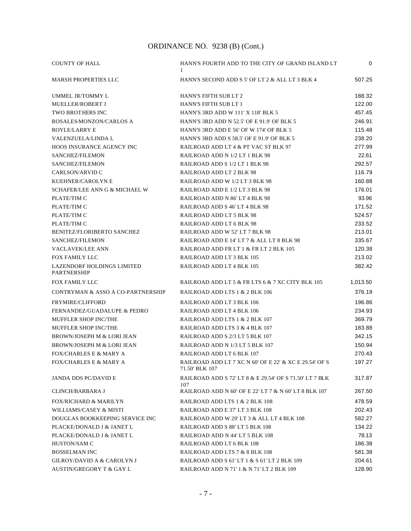| <b>COUNTY OF HALL</b>                            | HANN'S FOURTH ADD TO THE CITY OF GRAND ISLAND LT<br>1                    | $\mathbf 0$ |
|--------------------------------------------------|--------------------------------------------------------------------------|-------------|
| <b>MARSH PROPERTIES LLC</b>                      | HANN'S SECOND ADD S 5' OF LT 2 & ALL LT 3 BLK 4                          | 507.25      |
| UMMEL JR/TOMMY L                                 | <b>HANN'S FIFTH SUB LT 2</b>                                             | 188.32      |
| MUELLER/ROBERT J                                 | HANN'S FIFTH SUB LT 1                                                    | 122.00      |
| <b>TWO BROTHERS INC</b>                          | HANN'S 3RD ADD W 111' X 118' BLK 5                                       | 457.45      |
| ROSALES-MONZON/CARLOS A                          | HANN'S 3RD ADD N 52.5' OF E 91.9' OF BLK 5                               | 246.91      |
| ROYLE/LARRY E                                    | HANN'S 3RD ADD E 56' OF W 174' OF BLK 5                                  | 115.48      |
| VALENZUELA/LINDA L                               | HANN'S 3RD ADD S 58.5' OF E 91.9' OF BLK 5                               | 238.20      |
| HOOS INSURANCE AGENCY INC                        | RAILROAD ADD LT 4 & PT VAC ST BLK 97                                     | 277.99      |
| SANCHEZ/FILEMON                                  | RAILROAD ADD N 1/2 LT 1 BLK 98                                           | 22.61       |
| SANCHEZ/FILEMON                                  | RAILROAD ADD S 1/2 LT 1 BLK 98                                           | 292.57      |
| CARLSON/ARVID C                                  | RAILROAD ADD LT 2 BLK 98                                                 | 116.79      |
| KUEHNER/CAROLYN E                                | RAILROAD ADD W 1/2 LT 3 BLK 98                                           | 160.88      |
| SCHAFER/LEE ANN G & MICHAEL W                    | RAILROAD ADD E 1/2 LT 3 BLK 98                                           | 176.01      |
| PLATE/TIM C                                      | RAILROAD ADD N 86' LT 4 BLK 98                                           | 93.96       |
| PLATE/TIM C                                      | RAILROAD ADD S 46' LT 4 BLK 98                                           | 171.52      |
| PLATE/TIM C                                      | RAILROAD ADD LT 5 BLK 98                                                 | 524.57      |
| PLATE/TIM C                                      | RAILROAD ADD LT 6 BLK 98                                                 | 233.52      |
| <b>BENITEZ/FLORIBERTO SANCHEZ</b>                | RAILROAD ADD W 52' LT 7 BLK 98                                           | 213.01      |
| SANCHEZ/FILEMON                                  | RAILROAD ADD E 14' LT 7 & ALL LT 8 BLK 98                                | 335.67      |
| <b>VACLAVEK/LEE ANN</b>                          | RAILROAD ADD FR LT 1 & FR LT 2 BLK 105                                   | 120.38      |
| FOX FAMILY LLC                                   | RAILROAD ADD LT 3 BLK 105                                                | 213.02      |
| LAZENDORF HOLDINGS LIMITED<br><b>PARTNERSHIP</b> | RAILROAD ADD LT 4 BLK 105                                                | 382.42      |
| FOX FAMILY LLC                                   | RAILROAD ADD LT 5 & FR LTS 6 & 7 XC CITY BLK 105                         | 1,013.50    |
| CONTRYMAN & ASSO A CO-PARTNERSHIP                | RAILROAD ADD LTS 1 & 2 BLK 106                                           | 376.19      |
| <b>FRYMIRE/CLIFFORD</b>                          | RAILROAD ADD LT 3 BLK 106                                                | 196.86      |
| FERNANDEZ/GUADALUPE & PEDRO                      | RAILROAD ADD LT 4 BLK 106                                                | 234.93      |
| <b>MUFFLER SHOP INC/THE</b>                      | RAILROAD ADD LTS 1 & 2 BLK 107                                           | 369.79      |
| MUFFLER SHOP INC/THE                             | RAILROAD ADD LTS 3 & 4 BLK 107                                           | 183.88      |
| <b>BROWN/JOSEPH M &amp; LORI JEAN</b>            | RAILROAD ADD S 2/3 LT 5 BLK 107                                          | 342.15      |
| BROWN/JOSEPH M & LORI JEAN                       | RAILROAD ADD N 1/3 LT 5 BLK 107                                          | 150.94      |
| <b>FOX/CHARLES E &amp; MARY A</b>                | RAILROAD ADD LT 6 BLK 107                                                | 270.43      |
| <b>FOX/CHARLES E &amp; MARY A</b>                | RAILROAD ADD LT 7 XC N 60' OF E 22' & XC E 29.54' OF S<br>71.50' BLK 107 | 197.27      |
| <b>JANDA DDS PC/DAVID E</b>                      | RAILROAD ADD S 72' LT 8 & E 29.54' OF S 71.50' LT 7 BLK<br>107           | 317.87      |
| <b>CLINCH/BARBARA J</b>                          | RAILROAD ADD N 60' OF E 22' LT 7 & N 60' LT 8 BLK 107                    | 267.50      |
| <b>FOX/RICHARD &amp; MARILYN</b>                 | RAILROAD ADD LTS 1 & 2 BLK 108                                           | 478.59      |
| WILLIAMS/CASEY & MISTI                           | RAILROAD ADD E 37' LT 3 BLK 108                                          | 202.43      |
| DOUGLAS BOOKKEEPING SERVICE INC                  | RAILROAD ADD W 29' LT 3 & ALL LT 4 BLK 108                               | 582.27      |
| PLACKE/DONALD J & JANET L                        | RAILROAD ADD S 88' LT 5 BLK 108                                          | 134.22      |
| PLACKE/DONALD J & JANET L                        | RAILROAD ADD N 44' LT 5 BLK 108                                          | 78.13       |
| HUSTON/SAM C                                     | RAILROAD ADD LT 6 BLK 108                                                | 186.38      |
| <b>BOSSELMAN INC</b>                             | RAILROAD ADD LTS 7 & 8 BLK 108                                           | 581.38      |
| GILROY/DAVID A & CAROLYN J                       | RAILROAD ADD S 61' LT 1 & S 61' LT 2 BLK 109                             | 204.61      |
| AUSTIN/GREGORY T & GAY L                         | RAILROAD ADD N 71' 1 & N 71' LT 2 BLK 109                                | 128.90      |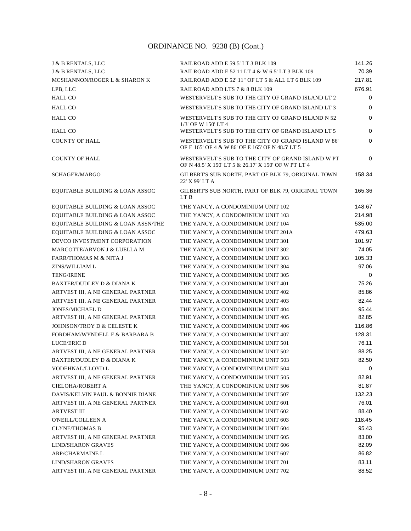| J & B RENTALS, LLC                   | RAILROAD ADD E 59.5' LT 3 BLK 109                                                                        | 141.26 |
|--------------------------------------|----------------------------------------------------------------------------------------------------------|--------|
| J & B RENTALS, LLC                   | RAILROAD ADD E 52'11 LT 4 & W 6.5' LT 3 BLK 109                                                          | 70.39  |
| MCSHANNON/ROGER L & SHARON K         | RAILROAD ADD E 52' 11" OF LT 5 & ALL LT 6 BLK 109                                                        | 217.81 |
| LPB, LLC                             | RAILROAD ADD LTS 7 & 8 BLK 109                                                                           | 676.91 |
| <b>HALL CO</b>                       | WESTERVELT'S SUB TO THE CITY OF GRAND ISLAND LT 2                                                        | 0      |
| <b>HALL CO</b>                       | WESTERVELT'S SUB TO THE CITY OF GRAND ISLAND LT 3                                                        | 0      |
| <b>HALL CO</b>                       | WESTERVELT'S SUB TO THE CITY OF GRAND ISLAND N 52<br>1/3' OF W 150' LT 4                                 | 0      |
| <b>HALL CO</b>                       | WESTERVELT'S SUB TO THE CITY OF GRAND ISLAND LT 5                                                        | 0      |
| <b>COUNTY OF HALL</b>                | WESTERVELT'S SUB TO THE CITY OF GRAND ISLAND W 86'<br>OF E 165' OF 4 & W 86' OF E 165' OF N 48.5' LT 5   | 0      |
| <b>COUNTY OF HALL</b>                | WESTERVELT'S SUB TO THE CITY OF GRAND ISLAND W PT<br>OF N 48.5' X 150' LT 5 & 26.17' X 150' OF W PT LT 4 | 0      |
| SCHAGER/MARGO                        | GILBERT'S SUB NORTH, PART OF BLK 79, ORIGINAL TOWN<br>22' X 99' LT A                                     | 158.34 |
| EQUITABLE BUILDING & LOAN ASSOC      | GILBERT'S SUB NORTH, PART OF BLK 79, ORIGINAL TOWN<br>LT B                                               | 165.36 |
| EQUITABLE BUILDING & LOAN ASSOC      | THE YANCY, A CONDOMINIUM UNIT 102                                                                        | 148.67 |
| EQUITABLE BUILDING & LOAN ASSOC      | THE YANCY, A CONDOMINIUM UNIT 103                                                                        | 214.98 |
| EQUITABLE BUILDING & LOAN ASSN/THE   | THE YANCY, A CONDOMINIUM UNIT 104                                                                        | 535.00 |
| EQUITABLE BUILDING & LOAN ASSOC      | THE YANCY, A CONDOMINIUM UNIT 201A                                                                       | 479.63 |
| DEVCO INVESTMENT CORPORATION         | THE YANCY, A CONDOMINIUM UNIT 301                                                                        | 101.97 |
| MARCOTTE/ARVON J & LUELLA M          | THE YANCY, A CONDOMINIUM UNIT 302                                                                        | 74.05  |
| <b>FARR/THOMAS M &amp; NITA J</b>    | THE YANCY, A CONDOMINIUM UNIT 303                                                                        | 105.33 |
| ZINS/WILLIAM L                       | THE YANCY, A CONDOMINIUM UNIT 304                                                                        | 97.06  |
| <b>TENG/IRENE</b>                    | THE YANCY, A CONDOMINIUM UNIT 305                                                                        | 0      |
| <b>BAXTER/DUDLEY D &amp; DIANA K</b> | THE YANCY, A CONDOMINIUM UNIT 401                                                                        | 75.26  |
| ARTVEST III, A NE GENERAL PARTNER    | THE YANCY, A CONDOMINIUM UNIT 402                                                                        | 85.86  |
| ARTVEST III, A NE GENERAL PARTNER    | THE YANCY, A CONDOMINIUM UNIT 403                                                                        | 82.44  |
| <b>JONES/MICHAEL D</b>               | THE YANCY, A CONDOMINIUM UNIT 404                                                                        | 95.44  |
| ARTVEST III, A NE GENERAL PARTNER    | THE YANCY, A CONDOMINIUM UNIT 405                                                                        | 82.85  |
| JOHNSON/TROY D & CELESTE K           | THE YANCY, A CONDOMINIUM UNIT 406                                                                        | 116.86 |
| FORDHAM/WYNDELL F & BARBARA B        | THE YANCY, A CONDOMINIUM UNIT 407                                                                        | 128.31 |
| <b>LUCE/ERIC D</b>                   | THE YANCY, A CONDOMINIUM UNIT 501                                                                        | 76.11  |
| ARTVEST III, A NE GENERAL PARTNER    | THE YANCY, A CONDOMINIUM UNIT 502                                                                        | 88.25  |
| BAXTER/DUDLEY D & DIANA K            | THE YANCY, A CONDOMINIUM UNIT 503                                                                        | 82.50  |
| VODEHNAL/LLOYD L                     | THE YANCY, A CONDOMINIUM UNIT 504                                                                        | 0      |
| ARTVEST III, A NE GENERAL PARTNER    | THE YANCY, A CONDOMINIUM UNIT 505                                                                        | 82.91  |
| CIELOHA/ROBERT A                     | THE YANCY, A CONDOMINIUM UNIT 506                                                                        | 81.87  |
| DAVIS/KELVIN PAUL & BONNIE DIANE     | THE YANCY, A CONDOMINIUM UNIT 507                                                                        | 132.23 |
| ARTVEST III, A NE GENERAL PARTNER    | THE YANCY, A CONDOMINIUM UNIT 601                                                                        | 76.01  |
| <b>ARTVEST III</b>                   | THE YANCY, A CONDOMINIUM UNIT 602                                                                        | 88.40  |
| <b>O'NEILL/COLLEEN A</b>             | THE YANCY, A CONDOMINIUM UNIT 603                                                                        | 118.45 |
| <b>CLYNE/THOMAS B</b>                | THE YANCY, A CONDOMINIUM UNIT 604                                                                        | 95.43  |
| ARTVEST III, A NE GENERAL PARTNER    | THE YANCY, A CONDOMINIUM UNIT 605                                                                        | 83.00  |
| <b>LIND/SHARON GRAVES</b>            | THE YANCY, A CONDOMINIUM UNIT 606                                                                        | 82.09  |
| <b>ARP/CHARMAINE L</b>               | THE YANCY, A CONDOMINIUM UNIT 607                                                                        | 86.82  |
| <b>LIND/SHARON GRAVES</b>            | THE YANCY, A CONDOMINIUM UNIT 701                                                                        | 83.11  |
| ARTVEST III, A NE GENERAL PARTNER    | THE YANCY, A CONDOMINIUM UNIT 702                                                                        | 88.52  |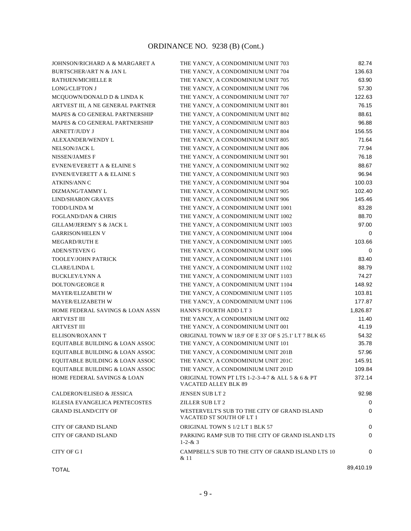| JOHNSON/RICHARD A & MARGARET A         | THE YANCY, A CONDOMINIUM UNIT 703                                        | 82.74     |
|----------------------------------------|--------------------------------------------------------------------------|-----------|
| <b>BURTSCHER/ART N &amp; JAN L</b>     | THE YANCY, A CONDOMINIUM UNIT 704                                        | 136.63    |
| RATHJEN/MICHELLE R                     | THE YANCY, A CONDOMINIUM UNIT 705                                        | 63.90     |
| <b>LONG/CLIFTON J</b>                  | THE YANCY, A CONDOMINIUM UNIT 706                                        | 57.30     |
| MCQUOWN/DONALD D & LINDA K             | THE YANCY, A CONDOMINIUM UNIT 707                                        | 122.63    |
| ARTVEST III, A NE GENERAL PARTNER      | THE YANCY, A CONDOMINIUM UNIT 801                                        | 76.15     |
| MAPES & CO GENERAL PARTNERSHIP         | THE YANCY, A CONDOMINIUM UNIT 802                                        | 88.61     |
| MAPES & CO GENERAL PARTNERSHIP         | THE YANCY, A CONDOMINIUM UNIT 803                                        | 96.88     |
| <b>ARNETT/JUDY J</b>                   | THE YANCY, A CONDOMINIUM UNIT 804                                        | 156.55    |
| ALEXANDER/WENDY L                      | THE YANCY, A CONDOMINIUM UNIT 805                                        | 71.64     |
| NELSON/JACK L                          | THE YANCY, A CONDOMINIUM UNIT 806                                        | 77.94     |
| <b>NISSEN/JAMES F</b>                  | THE YANCY, A CONDOMINIUM UNIT 901                                        | 76.18     |
| EVNEN/EVERETT A & ELAINE S             | THE YANCY, A CONDOMINIUM UNIT 902                                        | 88.67     |
| <b>EVNEN/EVERETT A &amp; ELAINE S</b>  | THE YANCY, A CONDOMINIUM UNIT 903                                        | 96.94     |
| <b>ATKINS/ANN C</b>                    | THE YANCY, A CONDOMINIUM UNIT 904                                        | 100.03    |
| DIZMANG/TAMMY L                        | THE YANCY, A CONDOMINIUM UNIT 905                                        | 102.40    |
| <b>LIND/SHARON GRAVES</b>              | THE YANCY, A CONDOMINIUM UNIT 906                                        | 145.46    |
| <b>TODD/LINDA M</b>                    | THE YANCY, A CONDOMINIUM UNIT 1001                                       | 83.28     |
| <b>FOGLAND/DAN &amp; CHRIS</b>         | THE YANCY, A CONDOMINIUM UNIT 1002                                       | 88.70     |
| <b>GILLAM/JEREMY S &amp; JACK L</b>    | THE YANCY, A CONDOMINIUM UNIT 1003                                       | 97.00     |
| <b>GARRISON/HELEN V</b>                | THE YANCY, A CONDOMINIUM UNIT 1004                                       | 0         |
| <b>MEGARD/RUTH E</b>                   | THE YANCY, A CONDOMINIUM UNIT 1005                                       | 103.66    |
| <b>ADEN/STEVEN G</b>                   | THE YANCY, A CONDOMINIUM UNIT 1006                                       | 0         |
| <b>TOOLEY/JOHN PATRICK</b>             | THE YANCY, A CONDOMINIUM UNIT 1101                                       | 83.40     |
| <b>CLARE/LINDA L</b>                   | THE YANCY, A CONDOMINIUM UNIT 1102                                       | 88.79     |
| <b>BUCKLEY/LYNN A</b>                  | THE YANCY, A CONDOMINIUM UNIT 1103                                       | 74.27     |
| <b>DOLTON/GEORGE R</b>                 | THE YANCY, A CONDOMINIUM UNIT 1104                                       | 148.92    |
| MAYER/ELIZABETH W                      | THE YANCY, A CONDOMINIUM UNIT 1105                                       | 103.81    |
| MAYER/ELIZABETH W                      | THE YANCY, A CONDOMINIUM UNIT 1106                                       | 177.87    |
| HOME FEDERAL SAVINGS & LOAN ASSN       | HANN'S FOURTH ADD LT 3                                                   | 1,826.87  |
| <b>ARTVEST III</b>                     | THE YANCY, A CONDOMINIUM UNIT 002                                        | 11.40     |
| <b>ARTVEST III</b>                     | THE YANCY, A CONDOMINIUM UNIT 001                                        | 41.19     |
| ELLISON/ROXANN T                       | ORIGINAL TOWN W 18.9' OF E 33' OF S 25.1' LT 7 BLK 65                    | 54.32     |
| EQUITABLE BUILDING & LOAN ASSOC        | THE YANCY, A CONDOMINIUM UNIT 101                                        | 35.78     |
| EQUITABLE BUILDING & LOAN ASSOC        | THE YANCY, A CONDOMINIUM UNIT 201B                                       | 57.96     |
| EQUITABLE BUILDING & LOAN ASSOC        | THE YANCY, A CONDOMINIUM UNIT 201C                                       | 145.91    |
| EQUITABLE BUILDING & LOAN ASSOC        | THE YANCY, A CONDOMINIUM UNIT 201D                                       | 109.84    |
| <b>HOME FEDERAL SAVINGS &amp; LOAN</b> | ORIGINAL TOWN PT LTS 1-2-3-4-7 & ALL 5 & 6 & PT<br>VACATED ALLEY BLK 89  | 372.14    |
| <b>CALDERON/ELISEO &amp; JESSICA</b>   | JENSEN SUB LT 2                                                          | 92.98     |
| <b>IGLESIA EVANGELICA PENTECOSTES</b>  | <b>ZILLER SUB LT 2</b>                                                   | 0         |
| <b>GRAND ISLAND/CITY OF</b>            | WESTERVELT'S SUB TO THE CITY OF GRAND ISLAND<br>VACATED ST SOUTH OF LT 1 | 0         |
| <b>CITY OF GRAND ISLAND</b>            | ORIGINAL TOWN S 1/2 LT 1 BLK 57                                          | 0         |
| <b>CITY OF GRAND ISLAND</b>            | PARKING RAMP SUB TO THE CITY OF GRAND ISLAND LTS<br>$1 - 2 - 8 = 3$      | 0         |
| <b>CITY OF GI</b>                      | CAMPBELL'S SUB TO THE CITY OF GRAND ISLAND LTS 10<br>& 11                | 0         |
| <b>TOTAL</b>                           |                                                                          | 89,410.19 |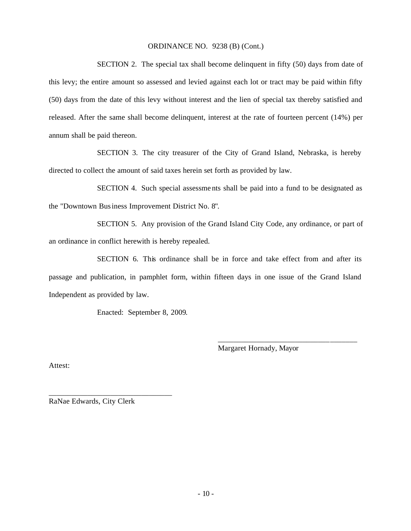SECTION 2. The special tax shall become delinquent in fifty (50) days from date of this levy; the entire amount so assessed and levied against each lot or tract may be paid within fifty (50) days from the date of this levy without interest and the lien of special tax thereby satisfied and released. After the same shall become delinquent, interest at the rate of fourteen percent (14%) per annum shall be paid thereon.

SECTION 3. The city treasurer of the City of Grand Island, Nebraska, is hereby directed to collect the amount of said taxes herein set forth as provided by law.

SECTION 4. Such special assessme nts shall be paid into a fund to be designated as the "Downtown Business Improvement District No. 8".

SECTION 5. Any provision of the Grand Island City Code, any ordinance, or part of an ordinance in conflict herewith is hereby repealed.

SECTION 6. This ordinance shall be in force and take effect from and after its passage and publication, in pamphlet form, within fifteen days in one issue of the Grand Island Independent as provided by law.

Enacted: September 8, 2009.

Margaret Hornady, Mayor

\_\_\_\_\_\_\_\_\_\_\_\_\_\_\_\_\_\_\_\_\_\_\_\_\_\_\_\_\_\_\_\_\_\_\_\_

Attest:

RaNae Edwards, City Clerk

\_\_\_\_\_\_\_\_\_\_\_\_\_\_\_\_\_\_\_\_\_\_\_\_\_\_\_\_\_\_\_\_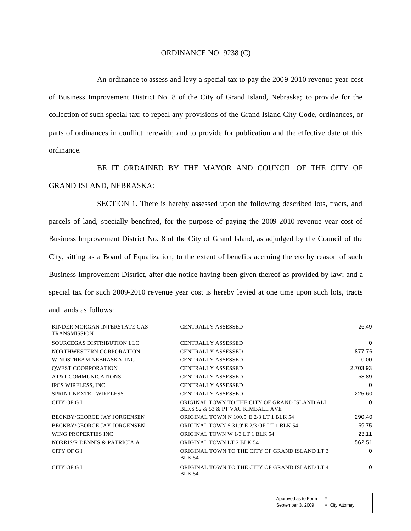#### ORDINANCE NO. 9238 (C)

An ordinance to assess and levy a special tax to pay the 2009-2010 revenue year cost of Business Improvement District No. 8 of the City of Grand Island, Nebraska; to provide for the collection of such special tax; to repeal any provisions of the Grand Island City Code, ordinances, or parts of ordinances in conflict herewith; and to provide for publication and the effective date of this ordinance.

BE IT ORDAINED BY THE MAYOR AND COUNCIL OF THE CITY OF GRAND ISLAND, NEBRASKA:

SECTION 1. There is hereby assessed upon the following described lots, tracts, and parcels of land, specially benefited, for the purpose of paying the 2009-2010 revenue year cost of Business Improvement District No. 8 of the City of Grand Island, as adjudged by the Council of the City, sitting as a Board of Equalization, to the extent of benefits accruing thereto by reason of such Business Improvement District, after due notice having been given thereof as provided by law; and a special tax for such 2009-2010 revenue year cost is hereby levied at one time upon such lots, tracts and lands as follows:

| KINDER MORGAN INTERSTATE GAS<br><b>TRANSMISSION</b> | <b>CENTRALLY ASSESSED</b>                                                          | 26.49    |
|-----------------------------------------------------|------------------------------------------------------------------------------------|----------|
| SOURCEGAS DISTRIBUTION LLC                          | <b>CENTRALLY ASSESSED</b>                                                          | 0        |
| NORTHWESTERN CORPORATION                            | <b>CENTRALLY ASSESSED</b>                                                          | 877.76   |
| WINDSTREAM NEBRASKA, INC                            | <b>CENTRALLY ASSESSED</b>                                                          | 0.00     |
| <b>QWEST COORPORATION</b>                           | <b>CENTRALLY ASSESSED</b>                                                          | 2,703.93 |
| AT&T COMMUNICATIONS                                 | <b>CENTRALLY ASSESSED</b>                                                          | 58.89    |
| <b>IPCS WIRELESS, INC</b>                           | <b>CENTRALLY ASSESSED</b>                                                          | 0        |
| <b>SPRINT NEXTEL WIRELESS</b>                       | <b>CENTRALLY ASSESSED</b>                                                          | 225.60   |
| CITY OF GI                                          | ORIGINAL TOWN TO THE CITY OF GRAND ISLAND ALL<br>BLKS 52 & 53 & PT VAC KIMBALL AVE | $\Omega$ |
| BECKBY/GEORGE JAY JORGENSEN                         | <b>ORIGINAL TOWN N 100.5' E 2/3 LT 1 BLK 54</b>                                    | 290.40   |
| <b>BECKBY/GEORGE JAY JORGENSEN</b>                  | ORIGINAL TOWN S 31.9' E 2/3 OF LT 1 BLK 54                                         | 69.75    |
| WING PROPERTIES INC.                                | ORIGINAL TOWN W 1/3 LT 1 BLK 54                                                    | 23.11    |
| NORRIS/R DENNIS & PATRICIA A                        | <b>ORIGINAL TOWN LT 2 BLK 54</b>                                                   | 562.51   |
| CITY OF GI                                          | ORIGINAL TOWN TO THE CITY OF GRAND ISLAND LT 3<br><b>BLK 54</b>                    | 0        |
| CITY OF GI                                          | ORIGINAL TOWN TO THE CITY OF GRAND ISLAND LT 4<br><b>BLK 54</b>                    | 0        |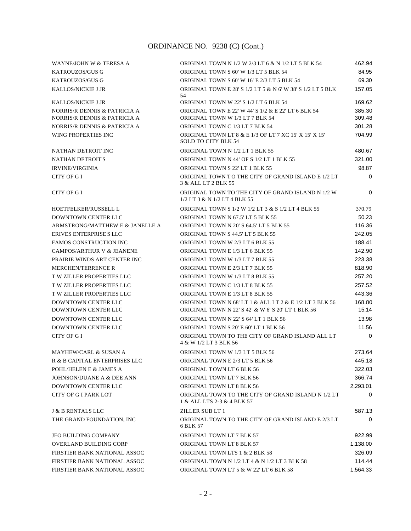| WAYNE/JOHN W & TERESA A                                      | ORIGINAL TOWN N 1/2 W 2/3 LT 6 & N 1/2 LT 5 BLK 54                                                            | 462.94           |
|--------------------------------------------------------------|---------------------------------------------------------------------------------------------------------------|------------------|
| <b>KATROUZOS/GUS G</b>                                       | ORIGINAL TOWN S 60' W 1/3 LT 5 BLK 54                                                                         | 84.95            |
| KATROUZOS/GUS G                                              | ORIGINAL TOWN S 60' W 16' E 2/3 LT 5 BLK 54                                                                   | 69.30            |
| <b>KALLOS/NICKIE J JR</b>                                    | ORIGINAL TOWN E 28' S 1/2 LT 5 & N 6' W 38' S 1/2 LT 5 BLK<br>54                                              | 157.05           |
| <b>KALLOS/NICKIE J JR</b>                                    | ORIGINAL TOWN W 22' S 1/2 LT 6 BLK 54                                                                         | 169.62           |
| NORRIS/R DENNIS & PATRICIA A<br>NORRIS/R DENNIS & PATRICIA A | ORIGINAL TOWN E 22' W 44' S 1/2 & E 22' LT 6 BLK 54<br>ORIGINAL TOWN W 1/3 LT 7 BLK 54                        | 385.30<br>309.48 |
| NORRIS/R DENNIS & PATRICIA A                                 | ORIGINAL TOWN C 1/3 LT 7 BLK 54                                                                               | 301.28           |
| WING PROPERTIES INC                                          | ORIGINAL TOWN LT 8 & E 1/3 OF LT 7 XC 15' X 15' X 15'<br><b>SOLD TO CITY BLK 54</b>                           | 704.99           |
| NATHAN DETROIT INC                                           | ORIGINAL TOWN N 1/2 LT 1 BLK 55                                                                               | 480.67           |
| <b>NATHAN DETROIT'S</b>                                      | ORIGINAL TOWN N 44' OF S 1/2 LT 1 BLK 55                                                                      | 321.00           |
| <b>IRVINE/VIRGINIA</b>                                       | ORIGINAL TOWN S 22' LT 1 BLK 55                                                                               | 98.87            |
| CITY OF G I                                                  | ORIGINAL TOWN TO THE CITY OF GRAND ISLAND E 1/2 LT<br>3 & ALL LT 2 BLK 55                                     | $\mathbf 0$      |
| CITY OF G I                                                  | ORIGINAL TOWN TO THE CITY OF GRAND ISLAND N 1/2 W<br>1/2 LT 3 & N 1/2 LT 4 BLK 55                             | 0                |
| HOETFELKER/RUSSELL L                                         | ORIGINAL TOWN S 1/2 W 1/2 LT 3 & S 1/2 LT 4 BLK 55                                                            | 370.79           |
| <b>DOWNTOWN CENTER LLC</b>                                   | ORIGINAL TOWN N 67.5' LT 5 BLK 55                                                                             | 50.23            |
| ARMSTRONG/MATTHEW E & JANELLE A                              | ORIGINAL TOWN N 20' S 64.5' LT 5 BLK 55                                                                       | 116.36           |
| ERIVES ENTERPRISE SLLC                                       | ORIGINAL TOWN S 44.5' LT 5 BLK 55                                                                             | 242.05           |
| <b>FAMOS CONSTRUCTION INC</b>                                | ORIGINAL TOWN W 2/3 LT 6 BLK 55                                                                               | 188.41           |
| <b>CAMPOS/ARTHUR V &amp; JEANENE</b>                         | ORIGINAL TOWN E 1/3 LT 6 BLK 55                                                                               | 142.90           |
| PRAIRIE WINDS ART CENTER INC                                 | ORIGINAL TOWN W 1/3 LT 7 BLK 55                                                                               | 223.38           |
| <b>MERCHEN/TERRENCE R</b>                                    | ORIGINAL TOWN E 2/3 LT 7 BLK 55                                                                               | 818.90           |
| <b>T W ZILLER PROPERTIES LLC</b>                             | ORIGINAL TOWN W 1/3 LT 8 BLK 55                                                                               | 257.20           |
| <b>TW ZILLER PROPERTIES LLC</b>                              | ORIGINAL TOWN C 1/3 LT 8 BLK 55                                                                               | 257.52           |
| T W ZILLER PROPERTIES LLC                                    | ORIGINAL TOWN E 1/3 LT 8 BLK 55                                                                               | 443.36           |
| <b>DOWNTOWN CENTER LLC</b><br>DOWNTOWN CENTER LLC            | ORIGINAL TOWN N 68' LT 1 & ALL LT 2 & E 1/2 LT 3 BLK 56<br>ORIGINAL TOWN N 22' S 42' & W 6' S 20' LT 1 BLK 56 | 168.80<br>15.14  |
| DOWNTOWN CENTER LLC                                          | ORIGINAL TOWN N 22' S 64' LT 1 BLK 56                                                                         | 13.98            |
| DOWNTOWN CENTER LLC                                          | ORIGINAL TOWN S 20' E 60' LT 1 BLK 56                                                                         | 11.56            |
| CITY OF G I                                                  | ORIGINAL TOWN TO THE CITY OF GRAND ISLAND ALL LT<br>4 & W 1/2 LT 3 BLK 56                                     | $\Omega$         |
| <b>MAYHEW/CARL &amp; SUSAN A</b>                             | ORIGINAL TOWN W 1/3 LT 5 BLK 56                                                                               | 273.64           |
| R & B CAPITAL ENTERPRISES LLC                                | ORIGINAL TOWN E 2/3 LT 5 BLK 56                                                                               | 445.18           |
| POHL/HELEN E & JAMES A                                       | ORIGINAL TOWN LT 6 BLK 56                                                                                     | 322.03           |
| JOHNSON/DUANE A & DEE ANN                                    | ORIGINAL TOWN LT 7 BLK 56                                                                                     | 366.74           |
| DOWNTOWN CENTER LLC                                          | ORIGINAL TOWN LT 8 BLK 56                                                                                     | 2,293.01         |
| <b>CITY OF G I PARK LOT</b>                                  | ORIGINAL TOWN TO THE CITY OF GRAND ISLAND N 1/2 LT<br>1 & ALL LTS 2-3 & 4 BLK 57                              | 0                |
| <b>J &amp; B RENTALS LLC</b>                                 | ZILLER SUB LT 1                                                                                               | 587.13           |
| THE GRAND FOUNDATION, INC                                    | ORIGINAL TOWN TO THE CITY OF GRAND ISLAND E 2/3 LT<br>6 BLK 57                                                | $\Omega$         |
| <b>JEO BUILDING COMPANY</b>                                  | ORIGINAL TOWN LT 7 BLK 57                                                                                     | 922.99           |
| <b>OVERLAND BUILDING CORP</b>                                | ORIGINAL TOWN LT 8 BLK 57                                                                                     | 1,138.00         |
| FIRSTIER BANK NATIONAL ASSOC                                 | ORIGINAL TOWN LTS 1 & 2 BLK 58                                                                                | 326.09           |
| FIRSTIER BANK NATIONAL ASSOC                                 | ORIGINAL TOWN N 1/2 LT 4 & N 1/2 LT 3 BLK 58                                                                  | 114.44           |
| FIRSTIER BANK NATIONAL ASSOC                                 | ORIGINAL TOWN LT 5 & W 22' LT 6 BLK 58                                                                        | 1,564.33         |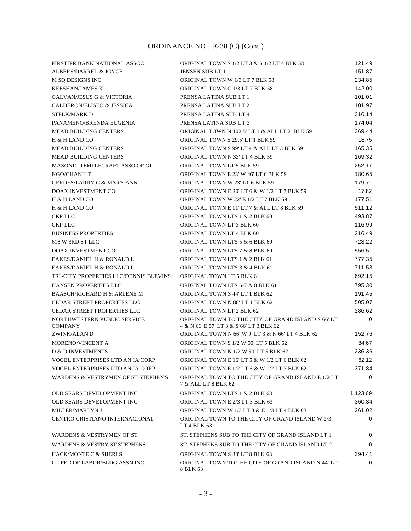| FIRSTIER BANK NATIONAL ASSOC                   | ORIGINAL TOWN S 1/2 LT 3 & S 1/2 LT 4 BLK 58                                                   | 121.49      |
|------------------------------------------------|------------------------------------------------------------------------------------------------|-------------|
| ALBERS/DARREL & JOYCE                          | <b>JENSEN SUB LT 1</b>                                                                         | 151.87      |
| M SQ DESIGNS INC                               | ORIGINAL TOWN W 1/3 LT 7 BLK 58                                                                | 234.85      |
| <b>KEESHAN/JAMES K</b>                         | ORIGINAL TOWN C 1/3 LT 7 BLK 58                                                                | 142.00      |
| <b>GALVAN/JESUS G &amp; VICTORIA</b>           | PRENSA LATINA SUB LT 1                                                                         | 101.01      |
| CALDERON/ELISEO & JESSICA                      | PRENSA LATINA SUB LT 2                                                                         | 101.97      |
| <b>STELK/MARK D</b>                            | PRENSA LATINA SUB LT 4                                                                         | 316.14      |
| PANAMENO/BRENDA EUGENIA                        | PRENSA LATINA SUB LT 3                                                                         | 174.04      |
| <b>MEAD BUILDING CENTERS</b>                   | ORIGINAL TOWN N 102.5' LT 1 & ALL LT 2 BLK 59                                                  | 369.44      |
| H & H LAND CO                                  | ORIGINAL TOWN S 29.5' LT 1 BLK 59                                                              | 18.75       |
| <b>MEAD BUILDING CENTERS</b>                   | ORIGINAL TOWN S 99' LT 4 & ALL LT 3 BLK 59                                                     | 165.35      |
| <b>MEAD BUILDING CENTERS</b>                   | ORIGINAL TOWN N 33' LT 4 BLK 59                                                                | 169.32      |
| MASONIC TEMPLECRAFT ASSO OF GI                 | ORIGINAL TOWN LT 5 BLK 59                                                                      | 252.97      |
| NGO/CHANH T                                    | ORIGINAL TOWN E 23' W 46' LT 6 BLK 59                                                          | 180.65      |
| <b>GERDES/LARRY C &amp; MARY ANN</b>           | ORIGINAL TOWN W 23' LT 6 BLK 59                                                                | 179.71      |
| <b>DOAX INVESTMENT CO</b>                      | ORIGINAL TOWN E 20' LT 6 & W 1/2 LT 7 BLK 59                                                   | 17.82       |
| H & H LAND CO                                  | ORIGINAL TOWN W 22' E 1/2 LT 7 BLK 59                                                          | 177.51      |
| H & H LAND CO                                  | ORIGINAL TOWN E 11' LT 7 & ALL LT 8 BLK 59                                                     | 511.12      |
| <b>CKP LLC</b>                                 | ORIGINAL TOWN LTS 1 & 2 BLK 60                                                                 | 493.87      |
| <b>CKP LLC</b>                                 | ORIGINAL TOWN LT 3 BLK 60                                                                      | 116.99      |
| <b>BUSINESS PROPERTIES</b>                     | ORIGINAL TOWN LT 4 BLK 60                                                                      | 216.49      |
| 618 W 3RD ST LLC                               | ORIGINAL TOWN LTS 5 & 6 BLK 60                                                                 | 723.22      |
| DOAX INVESTMENT CO                             | ORIGINAL TOWN LTS 7 & 8 BLK 60                                                                 | 556.51      |
| EAKES/DANIEL H & RONALD L                      | ORIGINAL TOWN LTS 1 & 2 BLK 61                                                                 | 777.35      |
| EAKES/DANIEL H & RONALD L                      | ORIGINAL TOWN LTS 3 & 4 BLK 61                                                                 | 711.53      |
| TRI-CITY PROPERTIES LLC/DENNIS BLEVINS         | ORIGINAL TOWN LT 5 BLK 61                                                                      | 692.15      |
| <b>HANSEN PROPERTIES LLC</b>                   | ORIGINAL TOWN LTS 6-7 & 8 BLK 61                                                               | 795.30      |
| <b>BAASCH/RICHARD H &amp; ARLENE M</b>         | ORIGINAL TOWN S 44' LT 1 BLK 62                                                                | 191.45      |
| <b>CEDAR STREET PROPERTIES LLC</b>             | ORIGINAL TOWN N 88' LT 1 BLK 62                                                                | 505.07      |
| CEDAR STREET PROPERTIES LLC                    | ORIGINAL TOWN LT 2 BLK 62                                                                      | 286.62      |
| NORTHWESTERN PUBLIC SERVICE<br><b>COMPANY</b>  | ORIGINAL TOWN TO THE CITY OF GRAND ISLAND S 66' LT<br>4 & N 66' E 57' LT 3 & S 66' LT 3 BLK 62 | $\mathbf 0$ |
| ZWINK/ALAN D                                   | ORIGINAL TOWN N 66' W 9' LT 3 & N 66' LT 4 BLK 62                                              | 152.76      |
| MORENO/VINCENT A                               | ORIGINAL TOWN S 1/2 W 50' LT 5 BLK 62                                                          | 84.67       |
| <b>D &amp; D INVESTMENTS</b>                   | ORIGINAL TOWN N 1/2 W 50' LT 5 BLK 62                                                          | 236.36      |
| VOGEL ENTERPRISES LTD AN IA CORP               | ORIGINAL TOWN E 16' LT 5 & W 1/2 LT 6 BLK 62                                                   | 62.12       |
| VOGEL ENTERPRISES LTD AN IA CORP               | ORIGINAL TOWN E 1/2 LT 6 & W 1/2 LT 7 BLK 62                                                   | 371.84      |
| <b>WARDENS &amp; VESTRYMEN OF ST STEPHEN'S</b> | ORIGINAL TOWN TO THE CITY OF GRAND ISLAND E 1/2 LT<br>7 & ALL LT 8 BLK 62                      | 0           |
| OLD SEARS DEVELOPMENT INC                      | ORIGINAL TOWN LTS 1 & 2 BLK 63                                                                 | 1,123.69    |
| OLD SEARS DEVELOPMENT INC                      | ORIGINAL TOWN E 2/3 LT 3 BLK 63                                                                | 360.34      |
| MILLER/MARLYN J                                | ORIGINAL TOWN W 1/3 LT 3 & E 1/3 LT 4 BLK 63                                                   | 261.02      |
| CENTRO CRISTIANO INTERNACIONAL                 | ORIGINAL TOWN TO THE CITY OF GRAND ISLAND W 2/3<br>LT 4 BLK 63                                 | 0           |
| <b>WARDENS &amp; VESTRYMEN OF ST</b>           | ST. STEPHENS SUB TO THE CITY OF GRAND ISLAND LT 1                                              | 0           |
| <b>WARDENS &amp; VESTRY ST STEPHENS</b>        | ST. STEPHENS SUB TO THE CITY OF GRAND ISLAND LT 2                                              | 0           |
| <b>HACK/MONTE C &amp; SHERI S</b>              | ORIGINAL TOWN S 88' LT 8 BLK 63                                                                | 394.41      |
| G I FED OF LABOR/BLDG ASSN INC                 | ORIGINAL TOWN TO THE CITY OF GRAND ISLAND N 44' LT<br>8 BLK 63                                 | $\Omega$    |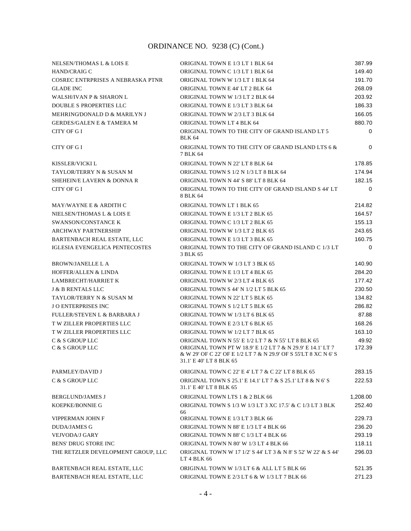| <b>NELSEN/THOMAS L &amp; LOIS E</b>    | ORIGINAL TOWN E 1/3 LT 1 BLK 64                                                                                                                                                                                | 387.99          |
|----------------------------------------|----------------------------------------------------------------------------------------------------------------------------------------------------------------------------------------------------------------|-----------------|
| HAND/CRAIG C                           | ORIGINAL TOWN C 1/3 LT 1 BLK 64                                                                                                                                                                                | 149.40          |
| COSREC ENTRPRISES A NEBRASKA PTNR      | ORIGINAL TOWN W 1/3 LT 1 BLK 64                                                                                                                                                                                | 191.70          |
| <b>GLADE INC</b>                       | ORIGINAL TOWN E 44' LT 2 BLK 64                                                                                                                                                                                | 268.09          |
| <b>WALSH/IVAN P &amp; SHARON L</b>     | ORIGINAL TOWN W 1/3 LT 2 BLK 64                                                                                                                                                                                | 203.92          |
| <b>DOUBLE S PROPERTIES LLC</b>         | ORIGINAL TOWN E 1/3 LT 3 BLK 64                                                                                                                                                                                | 186.33          |
| MEHRINGDONALD D & MARILYN J            | ORIGINAL TOWN W 2/3 LT 3 BLK 64                                                                                                                                                                                | 166.05          |
| <b>GERDES/GALEN E &amp; TAMERA M</b>   | ORIGINAL TOWN LT 4 BLK 64                                                                                                                                                                                      | 880.70          |
| CITY OF G I                            | ORIGINAL TOWN TO THE CITY OF GRAND ISLAND LT 5<br><b>BLK 64</b>                                                                                                                                                | $\mathbf 0$     |
| CITY OF G I                            | ORIGINAL TOWN TO THE CITY OF GRAND ISLAND LTS 6 &<br>7 BLK 64                                                                                                                                                  | $\Omega$        |
| KISSLER/VICKI L                        | ORIGINAL TOWN N 22' LT 8 BLK 64                                                                                                                                                                                | 178.85          |
| TAYLOR/TERRY N & SUSAN M               | ORIGINAL TOWN S 1/2 N 1/3 LT 8 BLK 64                                                                                                                                                                          | 174.94          |
| SHEHEIN/E LAVERN & DONNA R             | ORIGINAL TOWN N 44' S 88' LT 8 BLK 64                                                                                                                                                                          | 182.15          |
| CITY OF G I                            | ORIGINAL TOWN TO THE CITY OF GRAND ISLAND S 44' LT<br>8 BLK 64                                                                                                                                                 | 0               |
| MAY/WAYNE E & ARDITH C                 | ORIGINAL TOWN LT 1 BLK 65                                                                                                                                                                                      | 214.82          |
| NIELSEN/THOMAS L & LOIS E              | ORIGINAL TOWN E 1/3 LT 2 BLK 65                                                                                                                                                                                | 164.57          |
| <b>SWANSON/CONSTANCE K</b>             | ORIGINAL TOWN C 1/3 LT 2 BLK 65                                                                                                                                                                                | 155.13          |
| <b>ARCHWAY PARTNERSHIP</b>             | ORIGINAL TOWN W 1/3 LT 2 BLK 65                                                                                                                                                                                | 243.65          |
| <b>BARTENBACH REAL ESTATE, LLC</b>     | ORIGINAL TOWN E 1/3 LT 3 BLK 65                                                                                                                                                                                | 160.75          |
| <b>IGLESIA EVENGELICA PENTECOSTES</b>  | ORIGINAL TOWN TO THE CITY OF GRAND ISLAND C 1/3 LT<br>3 BLK 65                                                                                                                                                 | 0               |
| <b>BROWN/JANELLE L A</b>               | ORIGINAL TOWN W 1/3 LT 3 BLK 65                                                                                                                                                                                | 140.90          |
| <b>HOFFER/ALLEN &amp; LINDA</b>        | ORIGINAL TOWN E 1/3 LT 4 BLK 65                                                                                                                                                                                | 284.20          |
| <b>LAMBRECHT/HARRIET K</b>             | ORIGINAL TOWN W 2/3 LT 4 BLK 65                                                                                                                                                                                | 177.42          |
| <b>J &amp; B RENTALS LLC</b>           | ORIGINAL TOWN S 44' N 1/2 LT 5 BLK 65                                                                                                                                                                          | 230.50          |
| TAYLOR/TERRY N & SUSAN M               | ORIGINAL TOWN N 22' LT 5 BLK 65                                                                                                                                                                                | 134.82          |
| <b>JO ENTERPRISES INC</b>              | ORIGINAL TOWN S 1/2 LT 5 BLK 65                                                                                                                                                                                | 286.82          |
| <b>FULLER/STEVEN L &amp; BARBARA J</b> | ORIGINAL TOWN W 1/3 LT 6 BLK 65                                                                                                                                                                                | 87.88           |
| <b>T W ZILLER PROPERTIES LLC</b>       | ORIGINAL TOWN E 2/3 LT 6 BLK 65                                                                                                                                                                                | 168.26          |
| T W ZILLER PROPERTIES LLC              | ORIGINAL TOWN W 1/2 LT 7 BLK 65                                                                                                                                                                                | 163.10          |
| C & S GROUP LLC<br>C & S GROUP LLC     | ORIGINAL TOWN N 55' E 1/2 LT 7 & N 55' LT 8 BLK 65<br>ORIGINAL TOWN PT W 18.9' E 1/2 LT 7 & N 29.9' E 14.1' LT 7<br>& W 29' OF C 22' OF E 1/2 LT 7 & N 29.9' OF S 55'LT 8 XC N 6' S<br>31.1' E 40' LT 8 BLK 65 | 49.92<br>172.39 |
| PARMLEY/DAVID J                        | ORIGINAL TOWN C 22' E 4' LT 7 & C 22' LT 8 BLK 65                                                                                                                                                              | 283.15          |
| C & S GROUP LLC                        | ORIGINAL TOWN S 25.1' E 14.1' LT 7 & S 25.1' LT 8 & N 6' S<br>31.1' E 40' LT 8 BLK 65                                                                                                                          | 222.53          |
| <b>BERGLUND/JAMES J</b>                | ORIGINAL TOWN LTS 1 & 2 BLK 66                                                                                                                                                                                 | 1,208.00        |
| <b>KOEPKE/BONNIE G</b>                 | ORIGINAL TOWN S 1/3 W 1/3 LT 3 XC 17.5' & C 1/3 LT 3 BLK<br>66                                                                                                                                                 | 252.40          |
| VIPPERMAN JOHN F                       | ORIGINAL TOWN E 1/3 LT 3 BLK 66                                                                                                                                                                                | 229.73          |
| <b>DUDA/JAMES G</b>                    | ORIGINAL TOWN N 88' E 1/3 LT 4 BLK 66                                                                                                                                                                          | 236.20          |
| <b>VEJVODA/J GARY</b>                  | ORIGINAL TOWN N 88' C 1/3 LT 4 BLK 66                                                                                                                                                                          | 293.19          |
| <b>BENS' DRUG STORE INC</b>            | ORIGINAL TOWN N 80' W 1/3 LT 4 BLK 66                                                                                                                                                                          | 118.11          |
| THE RETZLER DEVELOPMENT GROUP, LLC     | ORIGINAL TOWN W 17 1/2' S 44' LT 3 & N 8' S 52' W 22' & S 44'<br>LT 4 BLK 66                                                                                                                                   | 296.03          |
| BARTENBACH REAL ESTATE, LLC            | ORIGINAL TOWN W 1/3 LT 6 & ALL LT 5 BLK 66                                                                                                                                                                     | 521.35          |
| BARTENBACH REAL ESTATE, LLC            | ORIGINAL TOWN E 2/3 LT 6 & W 1/3 LT 7 BLK 66                                                                                                                                                                   | 271.23          |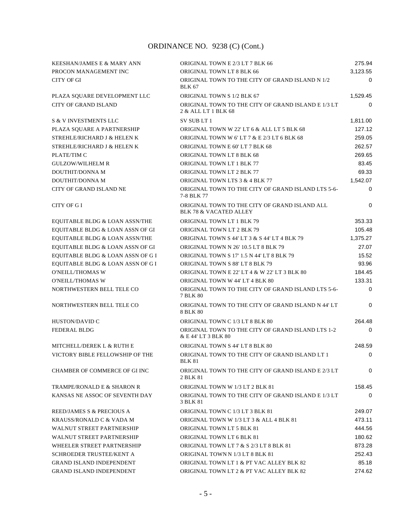| KEESHAN/JAMES E & MARY ANN                | ORIGINAL TOWN E 2/3 LT 7 BLK 66                                                    | 275.94      |
|-------------------------------------------|------------------------------------------------------------------------------------|-------------|
| PROCON MANAGEMENT INC                     | ORIGINAL TOWN LT 8 BLK 66                                                          | 3,123.55    |
| <b>CITY OF GI</b>                         | ORIGINAL TOWN TO THE CITY OF GRAND ISLAND N 1/2<br><b>BLK 67</b>                   | 0           |
| PLAZA SQUARE DEVELOPMENT LLC              | ORIGINAL TOWN S 1/2 BLK 67                                                         | 1,529.45    |
| <b>CITY OF GRAND ISLAND</b>               | ORIGINAL TOWN TO THE CITY OF GRAND ISLAND E 1/3 LT<br>2 & ALL LT 1 BLK 68          | 0           |
| <b>S &amp; V INVESTMENTS LLC</b>          | SV SUBLT 1                                                                         | 1,811.00    |
| PLAZA SQUARE A PARTNERSHIP                | ORIGINAL TOWN W 22' LT 6 & ALL LT 5 BLK 68                                         | 127.12      |
| STREHLE/RICHARD J & HELEN K               | ORIGINAL TOWN W 6'LT 7 & E 2/3 LT 6 BLK 68                                         | 259.05      |
| STREHLE/RICHARD J & HELEN K               | ORIGINAL TOWN E 60' LT 7 BLK 68                                                    | 262.57      |
| PLATE/TIM C                               | ORIGINAL TOWN LT 8 BLK 68                                                          | 269.65      |
| <b>GULZOW/WILHELM R</b>                   | ORIGINAL TOWN LT 1 BLK 77                                                          | 83.45       |
| DOUTHIT/DONNA M                           | ORIGINAL TOWN LT 2 BLK 77                                                          | 69.33       |
| DOUTHIT/DONNA M                           | ORIGINAL TOWN LTS 3 & 4 BLK 77                                                     | 1,542.07    |
| <b>CITY OF GRAND ISLAND NE</b>            | ORIGINAL TOWN TO THE CITY OF GRAND ISLAND LTS 5-6-<br>7-8 BLK 77                   | 0           |
| CITY OF G I                               | ORIGINAL TOWN TO THE CITY OF GRAND ISLAND ALL<br><b>BLK 78 &amp; VACATED ALLEY</b> | 0           |
| EQUITABLE BLDG & LOAN ASSN/THE            | <b>ORIGINAL TOWN LT 1 BLK 79</b>                                                   | 353.33      |
| EQUITABLE BLDG & LOAN ASSN OF GI          | ORIGINAL TOWN LT 2 BLK 79                                                          | 105.48      |
| <b>EQUITABLE BLDG &amp; LOAN ASSN/THE</b> | ORIGINAL TOWN S 44' LT 3 & S 44' LT 4 BLK 79                                       | 1.375.27    |
| EQUITABLE BLDG & LOAN ASSN OF GI          | ORIGINAL TOWN N 26' 10.5 LT 8 BLK 79                                               | 27.07       |
| EQUITABLE BLDG & LOAN ASSN OF G I         | ORIGINAL TOWN S 17' 1.5 N 44' LT 8 BLK 79                                          | 15.52       |
| EQUITABLE BLDG & LOAN ASSN OF G I         | ORIGINAL TOWN S 88' LT 8 BLK 79                                                    | 93.96       |
| <b>O'NEILL/THOMAS W</b>                   | ORIGINAL TOWN E 22' LT 4 & W 22' LT 3 BLK 80                                       | 184.45      |
| <b>O'NEILL/THOMAS W</b>                   | ORIGINAL TOWN W 44' LT 4 BLK 80                                                    | 133.31      |
| NORTHWESTERN BELL TELE CO                 | ORIGINAL TOWN TO THE CITY OF GRAND ISLAND LTS 5-6-<br>7 BLK 80                     | $\mathbf 0$ |
| NORTHWESTERN BELL TELE CO                 | ORIGINAL TOWN TO THE CITY OF GRAND ISLAND N 44' LT<br>8 BLK 80                     | 0           |
| HUSTON/DAVID C                            | ORIGINAL TOWN C 1/3 LT 8 BLK 80                                                    | 264.48      |
| <b>FEDERAL BLDG</b>                       | ORIGINAL TOWN TO THE CITY OF GRAND ISLAND LTS 1-2<br>& E 44' LT 3 BLK 80           | 0           |
| MITCHELL/DEREK L & RUTH E                 | ORIGINAL TOWN S 44' LT 8 BLK 80                                                    | 248.59      |
| VICTORY BIBLE FELLOWSHIP OF THE           | ORIGINAL TOWN TO THE CITY OF GRAND ISLAND LT 1<br><b>BLK 81</b>                    | 0           |
| CHAMBER OF COMMERCE OF GI INC             | ORIGINAL TOWN TO THE CITY OF GRAND ISLAND E 2/3 LT<br>2 BLK 81                     | $\Omega$    |
| <b>TRAMPE/RONALD E &amp; SHARON R</b>     | ORIGINAL TOWN W 1/3 LT 2 BLK 81                                                    | 158.45      |
| KANSAS NE ASSOC OF SEVENTH DAY            | ORIGINAL TOWN TO THE CITY OF GRAND ISLAND E 1/3 LT<br>3 BLK 81                     | $\Omega$    |
| REED/JAMES S & PRECIOUS A                 | ORIGINAL TOWN C 1/3 LT 3 BLK 81                                                    | 249.07      |
| KRAUSS/RONALD C & VADA M                  | ORIGINAL TOWN W 1/3 LT 3 & ALL 4 BLK 81                                            | 473.11      |
| <b>WALNUT STREET PARTNERSHIP</b>          | ORIGINAL TOWN LT 5 BLK 81                                                          | 444.56      |
| <b>WALNUT STREET PARTNERSHIP</b>          | ORIGINAL TOWN LT 6 BLK 81                                                          | 180.62      |
| WHEELER STREET PARTNERSHIP                | ORIGINAL TOWN LT 7 & S 2/3 LT 8 BLK 81                                             | 873.28      |
| SCHROEDER TRUSTEE/KENT A                  | ORIGINAL TOWN N 1/3 LT 8 BLK 81                                                    | 252.43      |
| <b>GRAND ISLAND INDEPENDENT</b>           | ORIGINAL TOWN LT 1 & PT VAC ALLEY BLK 82                                           | 85.18       |
| <b>GRAND ISLAND INDEPENDENT</b>           | ORIGINAL TOWN LT 2 & PT VAC ALLEY BLK 82                                           | 274.62      |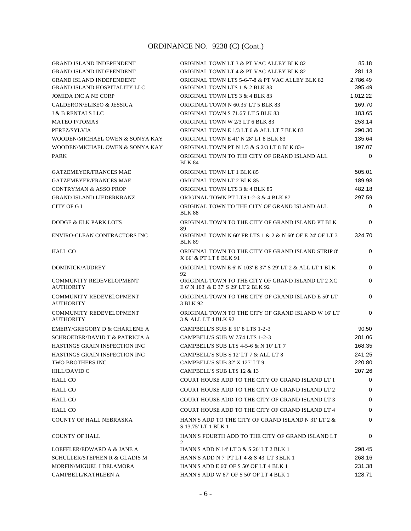| <b>GRAND ISLAND INDEPENDENT</b>                    | ORIGINAL TOWN LT 3 & PT VAC ALLEY BLK 82                                                   | 85.18    |
|----------------------------------------------------|--------------------------------------------------------------------------------------------|----------|
| <b>GRAND ISLAND INDEPENDENT</b>                    | ORIGINAL TOWN LT 4 & PT VAC ALLEY BLK 82                                                   | 281.13   |
| <b>GRAND ISLAND INDEPENDENT</b>                    | ORIGINAL TOWN LTS 5-6-7-8 & PT VAC ALLEY BLK 82                                            | 2,786.49 |
| <b>GRAND ISLAND HOSPITALITY LLC</b>                | ORIGINAL TOWN LTS 1 & 2 BLK 83                                                             | 395.49   |
| <b>JOMIDA INC A NE CORP</b>                        | ORIGINAL TOWN LTS 3 & 4 BLK 83                                                             | 1,012.22 |
| <b>CALDERON/ELISEO &amp; JESSICA</b>               | ORIGINAL TOWN N 60.35' LT 5 BLK 83                                                         | 169.70   |
| <b>J &amp; B RENTALS LLC</b>                       | ORIGINAL TOWN S 71.65' LT 5 BLK 83                                                         | 183.65   |
| <b>MATEO P/TOMAS</b>                               | ORIGINAL TOWN W 2/3 LT 6 BLK 83                                                            | 253.14   |
| PEREZ/SYLVIA                                       | ORIGINAL TOWN E 1/3 LT 6 & ALL LT 7 BLK 83                                                 | 290.30   |
| WOODEN/MICHAEL OWEN & SONYA KAY                    | ORIGINAL TOWN E 41' N 28' LT 8 BLK 83                                                      | 135.64   |
| WOODEN/MICHAEL OWEN & SONYA KAY                    | ORIGINAL TOWN PT N 1/3 & S 2/3 LT 8 BLK 83~                                                | 197.07   |
| <b>PARK</b>                                        | ORIGINAL TOWN TO THE CITY OF GRAND ISLAND ALL<br><b>BLK 84</b>                             | 0        |
| <b>GATZEMEYER/FRANCES MAE</b>                      | <b>ORIGINAL TOWN LT 1 BLK 85</b>                                                           | 505.01   |
| <b>GATZEMEYER/FRANCES MAE</b>                      | ORIGINAL TOWN LT 2 BLK 85                                                                  | 189.98   |
| <b>CONTRYMAN &amp; ASSO PROP</b>                   | ORIGINAL TOWN LTS 3 & 4 BLK 85                                                             | 482.18   |
| <b>GRAND ISLAND LIEDERKRANZ</b>                    | ORIGINAL TOWN PT LTS 1-2-3 & 4 BLK 87                                                      | 297.59   |
| CITY OF G I                                        | ORIGINAL TOWN TO THE CITY OF GRAND ISLAND ALL<br><b>BLK 88</b>                             | $\Omega$ |
| <b>DODGE &amp; ELK PARK LOTS</b>                   | ORIGINAL TOWN TO THE CITY OF GRAND ISLAND PT BLK<br>89                                     | $\Omega$ |
| ENVIRO-CLEAN CONTRACTORS INC                       | ORIGINAL TOWN N 60' FR LTS 1 & 2 & N 60' OF E 24' OF LT 3<br><b>BLK 89</b>                 | 324.70   |
| HALL CO                                            | ORIGINAL TOWN TO THE CITY OF GRAND ISLAND STRIP 8'<br>X 66' & PT LT 8 BLK 91               | 0        |
| DOMINICK/AUDREY                                    | ORIGINAL TOWN E 6' N 103' E 37' S 29' LT 2 & ALL LT 1 BLK<br>92                            | $\Omega$ |
| <b>COMMUNITY REDEVELOPMENT</b><br><b>AUTHORITY</b> | ORIGINAL TOWN TO THE CITY OF GRAND ISLAND LT 2 XC<br>E 6' N 103' & E 37' S 29' LT 2 BLK 92 | $\Omega$ |
| <b>COMMUNITY REDEVELOPMENT</b><br><b>AUTHORITY</b> | ORIGINAL TOWN TO THE CITY OF GRAND ISLAND E 50' LT<br>3 BLK 92                             | 0        |
| <b>COMMUNITY REDEVELOPMENT</b><br><b>AUTHORITY</b> | ORIGINAL TOWN TO THE CITY OF GRAND ISLAND W 16'LT<br>3 & ALL LT 4 BLK 92                   | $\Omega$ |
| EMERY/GREGORY D & CHARLENE A                       | CAMPBELL'S SUB E 51' 8 LTS 1-2-3                                                           | 90.50    |
| SCHROEDER/DAVID T & PATRICIA A                     | CAMPBELL'S SUB W 75'4 LTS 1-2-3                                                            | 281.06   |
| HASTINGS GRAIN INSPECTION INC                      | CAMPBELL'S SUB LTS 4-5-6 & N 10' LT 7                                                      | 168.35   |
| HASTINGS GRAIN INSPECTION INC                      | CAMPBELL'S SUB S 12' LT 7 & ALL LT 8                                                       | 241.25   |
| TWO BROTHERS INC                                   | CAMPBELL'S SUB 32' X 127' LT 9                                                             | 220.80   |
| HILL/DAVID C                                       | CAMPBELL'S SUB LTS 12 & 13                                                                 | 207.26   |
| HALL CO                                            | COURT HOUSE ADD TO THE CITY OF GRAND ISLAND LT 1                                           | 0        |
| <b>HALL CO</b>                                     | COURT HOUSE ADD TO THE CITY OF GRAND ISLAND LT 2                                           | 0        |
| <b>HALL CO</b>                                     | COURT HOUSE ADD TO THE CITY OF GRAND ISLAND LT 3                                           | 0        |
| <b>HALL CO</b>                                     | COURT HOUSE ADD TO THE CITY OF GRAND ISLAND LT 4                                           | 0        |
| <b>COUNTY OF HALL NEBRASKA</b>                     | HANN'S ADD TO THE CITY OF GRAND ISLAND N 31' LT 2 $&$<br>S 13.75' LT 1 BLK 1               | 0        |
| <b>COUNTY OF HALL</b>                              | HANN'S FOURTH ADD TO THE CITY OF GRAND ISLAND LT<br>$\mathfrak{D}$                         | 0        |
| LOEFFLER/EDWARD A & JANE A                         | HANN'S ADD N 14' LT 3 & S 26' LT 2 BLK 1                                                   | 298.45   |
| <b>SCHULLER/STEPHEN R &amp; GLADIS M</b>           | HANN'S ADD N 7' PT LT 4 & S 43' LT 3 BLK 1                                                 | 268.16   |
| MORFIN/MIGUEL I DELAMORA                           | HANN'S ADD E 60' OF S 50' OF LT 4 BLK 1                                                    | 231.38   |
| CAMPBELL/KATHLEEN A                                | HANN'S ADD W 67' OF S 50' OF LT 4 BLK 1                                                    | 128.71   |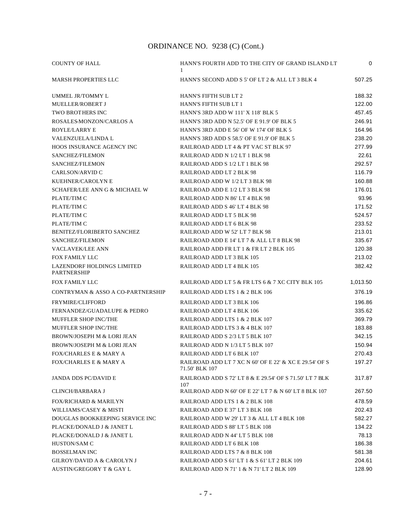| <b>COUNTY OF HALL</b>                            | HANN'S FOURTH ADD TO THE CITY OF GRAND ISLAND LT<br>-1                   | 0        |
|--------------------------------------------------|--------------------------------------------------------------------------|----------|
| <b>MARSH PROPERTIES LLC</b>                      | HANN'S SECOND ADD S 5' OF LT 2 & ALL LT 3 BLK 4                          | 507.25   |
| UMMEL JR/TOMMY L                                 | <b>HANN'S FIFTH SUB LT 2</b>                                             | 188.32   |
| <b>MUELLER/ROBERT J</b>                          | HANN'S FIFTH SUB LT 1                                                    | 122.00   |
| <b>TWO BROTHERS INC</b>                          | HANN'S 3RD ADD W 111' X 118' BLK 5                                       | 457.45   |
| ROSALES-MONZON/CARLOS A                          | HANN'S 3RD ADD N 52.5' OF E 91.9' OF BLK 5                               | 246.91   |
| ROYLE/LARRY E                                    | HANN'S 3RD ADD E 56' OF W 174' OF BLK 5                                  | 164.96   |
| <b>VALENZUELA/LINDA L</b>                        | HANN'S 3RD ADD S 58.5' OF E 91.9' OF BLK 5                               | 238.20   |
| HOOS INSURANCE AGENCY INC                        | RAILROAD ADD LT 4 & PT VAC ST BLK 97                                     | 277.99   |
| SANCHEZ/FILEMON                                  | RAILROAD ADD N 1/2 LT 1 BLK 98                                           | 22.61    |
| SANCHEZ/FILEMON                                  | RAILROAD ADD S 1/2 LT 1 BLK 98                                           | 292.57   |
| CARLSON/ARVID C                                  | RAILROAD ADD LT 2 BLK 98                                                 | 116.79   |
| KUEHNER/CAROLYN E                                | RAILROAD ADD W 1/2 LT 3 BLK 98                                           | 160.88   |
| SCHAFER/LEE ANN G & MICHAEL W                    | RAILROAD ADD E 1/2 LT 3 BLK 98                                           | 176.01   |
| PLATE/TIM C                                      | RAILROAD ADD N 86' LT 4 BLK 98                                           | 93.96    |
| PLATE/TIM C                                      | RAILROAD ADD S 46' LT 4 BLK 98                                           | 171.52   |
| PLATE/TIM C                                      | RAILROAD ADD LT 5 BLK 98                                                 | 524.57   |
| PLATE/TIM C                                      | RAILROAD ADD LT 6 BLK 98                                                 | 233.52   |
| <b>BENITEZ/FLORIBERTO SANCHEZ</b>                | RAILROAD ADD W 52' LT 7 BLK 98                                           | 213.01   |
| SANCHEZ/FILEMON                                  | RAILROAD ADD E 14' LT 7 & ALL LT 8 BLK 98                                | 335.67   |
| <b>VACLAVEK/LEE ANN</b>                          | RAILROAD ADD FR LT 1 & FR LT 2 BLK 105                                   | 120.38   |
| FOX FAMILY LLC                                   | RAILROAD ADD LT 3 BLK 105                                                | 213.02   |
| LAZENDORF HOLDINGS LIMITED<br><b>PARTNERSHIP</b> | RAILROAD ADD LT 4 BLK 105                                                | 382.42   |
| FOX FAMILY LLC                                   | RAILROAD ADD LT 5 & FR LTS 6 & 7 XC CITY BLK 105                         | 1,013.50 |
| CONTRYMAN & ASSO A CO-PARTNERSHIP                | RAILROAD ADD LTS 1 & 2 BLK 106                                           | 376.19   |
| <b>FRYMIRE/CLIFFORD</b>                          | RAILROAD ADD LT 3 BLK 106                                                | 196.86   |
| FERNANDEZ/GUADALUPE & PEDRO                      | RAILROAD ADD LT 4 BLK 106                                                | 335.62   |
| <b>MUFFLER SHOP INC/THE</b>                      | RAILROAD ADD LTS 1 & 2 BLK 107                                           | 369.79   |
| MUFFLER SHOP INC/THE                             | RAILROAD ADD LTS 3 & 4 BLK 107                                           | 183.88   |
| BROWN/JOSEPH M & LORI JEAN                       | RAILROAD ADD S 2/3 LT 5 BLK 107                                          | 342.15   |
| BROWN/JOSEPH M & LORI JEAN                       | RAILROAD ADD N 1/3 LT 5 BLK 107                                          | 150.94   |
| <b>FOX/CHARLES E &amp; MARY A</b>                | RAILROAD ADD LT 6 BLK 107                                                | 270.43   |
| <b>FOX/CHARLES E &amp; MARY A</b>                | RAILROAD ADD LT 7 XC N 60' OF E 22' & XC E 29.54' OF S<br>71.50' BLK 107 | 197.27   |
| <b>JANDA DDS PC/DAVID E</b>                      | RAILROAD ADD S 72' LT 8 & E 29.54' OF S 71.50' LT 7 BLK<br>107           | 317.87   |
| <b>CLINCH/BARBARA J</b>                          | RAILROAD ADD N 60' OF E 22' LT 7 & N 60' LT 8 BLK 107                    | 267.50   |
| <b>FOX/RICHARD &amp; MARILYN</b>                 | RAILROAD ADD LTS 1 & 2 BLK 108                                           | 478.59   |
| WILLIAMS/CASEY & MISTI                           | RAILROAD ADD E 37' LT 3 BLK 108                                          | 202.43   |
| DOUGLAS BOOKKEEPING SERVICE INC                  | RAILROAD ADD W 29' LT 3 & ALL LT 4 BLK 108                               | 582.27   |
| PLACKE/DONALD J & JANET L                        | RAILROAD ADD S 88' LT 5 BLK 108                                          | 134.22   |
| PLACKE/DONALD J & JANET L                        | RAILROAD ADD N 44' LT 5 BLK 108                                          | 78.13    |
| HUSTON/SAM C                                     | RAILROAD ADD LT 6 BLK 108                                                | 186.38   |
| <b>BOSSELMAN INC</b>                             | RAILROAD ADD LTS 7 & 8 BLK 108                                           | 581.38   |
| <b>GILROY/DAVID A &amp; CAROLYN J</b>            | RAILROAD ADD S 61' LT 1 & S 61' LT 2 BLK 109                             | 204.61   |
| AUSTIN/GREGORY T & GAY L                         | RAILROAD ADD N 71' 1 & N 71' LT 2 BLK 109                                | 128.90   |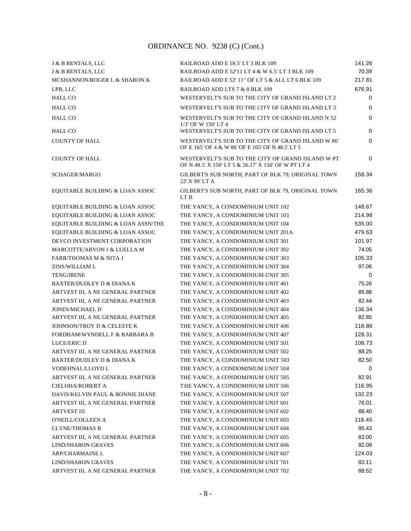| J & B RENTALS, LLC                   | RAILROAD ADD E 59.5' LT 3 BLK 109                                                                        | 141.26 |
|--------------------------------------|----------------------------------------------------------------------------------------------------------|--------|
| J & B RENTALS, LLC                   | RAILROAD ADD E 52'11 LT 4 & W 6.5' LT 3 BLK 109                                                          | 70.39  |
| MCSHANNON/ROGER L & SHARON K         | RAILROAD ADD E 52' 11" OF LT 5 & ALL LT 6 BLK 109                                                        | 217.81 |
| LPB, LLC                             | RAILROAD ADD LTS 7 & 8 BLK 109                                                                           | 676.91 |
| <b>HALL CO</b>                       | WESTERVELT'S SUB TO THE CITY OF GRAND ISLAND LT 2                                                        | 0      |
| <b>HALL CO</b>                       | WESTERVELT'S SUB TO THE CITY OF GRAND ISLAND LT 3                                                        | 0      |
| <b>HALL CO</b>                       | WESTERVELT'S SUB TO THE CITY OF GRAND ISLAND N 52<br>1/3' OF W 150' LT 4                                 | 0      |
| <b>HALL CO</b>                       | WESTERVELT'S SUB TO THE CITY OF GRAND ISLAND LT 5                                                        | 0      |
| <b>COUNTY OF HALL</b>                | WESTERVELT'S SUB TO THE CITY OF GRAND ISLAND W 86'<br>OF E 165' OF 4 & W 86' OF E 165' OF N 48.5' LT 5   | 0      |
| <b>COUNTY OF HALL</b>                | WESTERVELT'S SUB TO THE CITY OF GRAND ISLAND W PT<br>OF N 48.5' X 150' LT 5 & 26.17' X 150' OF W PT LT 4 | 0      |
| SCHAGER/MARGO                        | GILBERT'S SUB NORTH, PART OF BLK 79, ORIGINAL TOWN<br>22' X 99' LT A                                     | 158.34 |
| EQUITABLE BUILDING & LOAN ASSOC      | GILBERT'S SUB NORTH, PART OF BLK 79, ORIGINAL TOWN<br>LT B                                               | 165.36 |
| EQUITABLE BUILDING & LOAN ASSOC      | THE YANCY, A CONDOMINIUM UNIT 102                                                                        | 148.67 |
| EQUITABLE BUILDING & LOAN ASSOC      | THE YANCY, A CONDOMINIUM UNIT 103                                                                        | 214.98 |
| EQUITABLE BUILDING & LOAN ASSN/THE   | THE YANCY, A CONDOMINIUM UNIT 104                                                                        | 535.00 |
| EQUITABLE BUILDING & LOAN ASSOC      | THE YANCY, A CONDOMINIUM UNIT 201A                                                                       | 479.63 |
| DEVCO INVESTMENT CORPORATION         | THE YANCY, A CONDOMINIUM UNIT 301                                                                        | 101.97 |
| MARCOTTE/ARVON J & LUELLA M          | THE YANCY, A CONDOMINIUM UNIT 302                                                                        | 74.05  |
| <b>FARR/THOMAS M &amp; NITA J</b>    | THE YANCY, A CONDOMINIUM UNIT 303                                                                        | 105.33 |
| ZINS/WILLIAM L                       | THE YANCY, A CONDOMINIUM UNIT 304                                                                        | 97.06  |
| <b>TENG/IRENE</b>                    | THE YANCY, A CONDOMINIUM UNIT 305                                                                        | 0      |
| <b>BAXTER/DUDLEY D &amp; DIANA K</b> | THE YANCY, A CONDOMINIUM UNIT 401                                                                        | 75.26  |
| ARTVEST III, A NE GENERAL PARTNER    | THE YANCY, A CONDOMINIUM UNIT 402                                                                        | 85.86  |
| ARTVEST III, A NE GENERAL PARTNER    | THE YANCY, A CONDOMINIUM UNIT 403                                                                        | 82.44  |
| <b>JONES/MICHAEL D</b>               | THE YANCY, A CONDOMINIUM UNIT 404                                                                        | 136.34 |
| ARTVEST III, A NE GENERAL PARTNER    | THE YANCY, A CONDOMINIUM UNIT 405                                                                        | 82.85  |
| JOHNSON/TROY D & CELESTE K           | THE YANCY, A CONDOMINIUM UNIT 406                                                                        | 116.86 |
| FORDHAM/WYNDELL F & BARBARA B        | THE YANCY, A CONDOMINIUM UNIT 407                                                                        | 128.31 |
| <b>LUCE/ERIC D</b>                   | THE YANCY, A CONDOMINIUM UNIT 501                                                                        | 108.73 |
| ARTVEST III, A NE GENERAL PARTNER    | THE YANCY, A CONDOMINIUM UNIT 502                                                                        | 88.25  |
| BAXTER/DUDLEY D & DIANA K            | THE YANCY, A CONDOMINIUM UNIT 503                                                                        | 82.50  |
| VODEHNAL/LLOYD L                     | THE YANCY, A CONDOMINIUM UNIT 504                                                                        | 0      |
| ARTVEST III, A NE GENERAL PARTNER    | THE YANCY, A CONDOMINIUM UNIT 505                                                                        | 82.91  |
| CIELOHA/ROBERT A                     | THE YANCY, A CONDOMINIUM UNIT 506                                                                        | 116.95 |
| DAVIS/KELVIN PAUL & BONNIE DIANE     | THE YANCY, A CONDOMINIUM UNIT 507                                                                        | 132.23 |
| ARTVEST III, A NE GENERAL PARTNER    | THE YANCY, A CONDOMINIUM UNIT 601                                                                        | 76.01  |
| <b>ARTVEST III</b>                   | THE YANCY, A CONDOMINIUM UNIT 602                                                                        | 88.40  |
| O'NEILL/COLLEEN A                    | THE YANCY, A CONDOMINIUM UNIT 603                                                                        | 118.45 |
| <b>CLYNE/THOMAS B</b>                | THE YANCY, A CONDOMINIUM UNIT 604                                                                        | 95.43  |
| ARTVEST III, A NE GENERAL PARTNER    | THE YANCY, A CONDOMINIUM UNIT 605                                                                        | 83.00  |
| <b>LIND/SHARON GRAVES</b>            | THE YANCY, A CONDOMINIUM UNIT 606                                                                        | 82.09  |
| <b>ARP/CHARMAINE L</b>               | THE YANCY, A CONDOMINIUM UNIT 607                                                                        | 124.03 |
| <b>LIND/SHARON GRAVES</b>            | THE YANCY, A CONDOMINIUM UNIT 701                                                                        | 83.11  |
| ARTVEST III, A NE GENERAL PARTNER    | THE YANCY, A CONDOMINIUM UNIT 702                                                                        | 88.52  |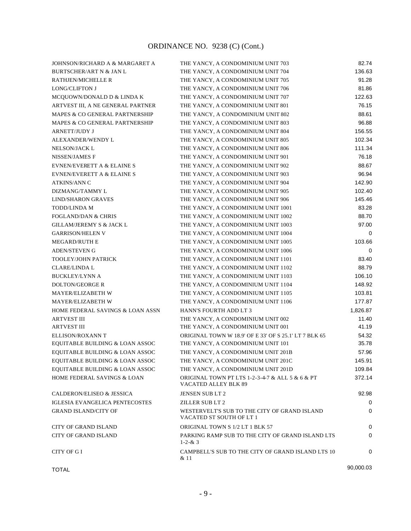| JOHNSON/RICHARD A & MARGARET A         | THE YANCY, A CONDOMINIUM UNIT 703                                        | 82.74     |
|----------------------------------------|--------------------------------------------------------------------------|-----------|
| <b>BURTSCHER/ART N &amp; JAN L</b>     | THE YANCY, A CONDOMINIUM UNIT 704                                        | 136.63    |
| <b>RATHJEN/MICHELLE R</b>              | THE YANCY, A CONDOMINIUM UNIT 705                                        | 91.28     |
| <b>LONG/CLIFTON J</b>                  | THE YANCY, A CONDOMINIUM UNIT 706                                        | 81.86     |
| MCQUOWN/DONALD D & LINDA K             | THE YANCY, A CONDOMINIUM UNIT 707                                        | 122.63    |
| ARTVEST III, A NE GENERAL PARTNER      | THE YANCY, A CONDOMINIUM UNIT 801                                        | 76.15     |
| MAPES & CO GENERAL PARTNERSHIP         | THE YANCY, A CONDOMINIUM UNIT 802                                        | 88.61     |
| MAPES & CO GENERAL PARTNERSHIP         | THE YANCY, A CONDOMINIUM UNIT 803                                        | 96.88     |
| <b>ARNETT/JUDY J</b>                   | THE YANCY, A CONDOMINIUM UNIT 804                                        | 156.55    |
| ALEXANDER/WENDY L                      | THE YANCY, A CONDOMINIUM UNIT 805                                        | 102.34    |
| NELSON/JACK L                          | THE YANCY, A CONDOMINIUM UNIT 806                                        | 111.34    |
| NISSEN/JAMES F                         | THE YANCY, A CONDOMINIUM UNIT 901                                        | 76.18     |
| <b>EVNEN/EVERETT A &amp; ELAINE S</b>  | THE YANCY, A CONDOMINIUM UNIT 902                                        | 88.67     |
| <b>EVNEN/EVERETT A &amp; ELAINE S</b>  | THE YANCY, A CONDOMINIUM UNIT 903                                        | 96.94     |
| <b>ATKINS/ANN C</b>                    | THE YANCY, A CONDOMINIUM UNIT 904                                        | 142.90    |
| DIZMANG/TAMMY L                        | THE YANCY, A CONDOMINIUM UNIT 905                                        | 102.40    |
| <b>LIND/SHARON GRAVES</b>              | THE YANCY, A CONDOMINIUM UNIT 906                                        | 145.46    |
| <b>TODD/LINDA M</b>                    | THE YANCY, A CONDOMINIUM UNIT 1001                                       | 83.28     |
| <b>FOGLAND/DAN &amp; CHRIS</b>         | THE YANCY, A CONDOMINIUM UNIT 1002                                       | 88.70     |
| <b>GILLAM/JEREMY S &amp; JACK L</b>    | THE YANCY, A CONDOMINIUM UNIT 1003                                       | 97.00     |
| <b>GARRISON/HELEN V</b>                | THE YANCY, A CONDOMINIUM UNIT 1004                                       | 0         |
| <b>MEGARD/RUTH E</b>                   | THE YANCY, A CONDOMINIUM UNIT 1005                                       | 103.66    |
| <b>ADEN/STEVEN G</b>                   | THE YANCY, A CONDOMINIUM UNIT 1006                                       | 0         |
| <b>TOOLEY/JOHN PATRICK</b>             | THE YANCY, A CONDOMINIUM UNIT 1101                                       | 83.40     |
| <b>CLARE/LINDA L</b>                   | THE YANCY, A CONDOMINIUM UNIT 1102                                       | 88.79     |
| <b>BUCKLEY/LYNN A</b>                  | THE YANCY, A CONDOMINIUM UNIT 1103                                       | 106.10    |
| <b>DOLTON/GEORGE R</b>                 | THE YANCY, A CONDOMINIUM UNIT 1104                                       | 148.92    |
| MAYER/ELIZABETH W                      | THE YANCY, A CONDOMINIUM UNIT 1105                                       | 103.81    |
| <b>MAYER/ELIZABETH W</b>               | THE YANCY, A CONDOMINIUM UNIT 1106                                       | 177.87    |
| HOME FEDERAL SAVINGS & LOAN ASSN       | HANN'S FOURTH ADD LT 3                                                   | 1,826.87  |
| <b>ARTVEST III</b>                     | THE YANCY, A CONDOMINIUM UNIT 002                                        | 11.40     |
| <b>ARTVEST III</b>                     | THE YANCY, A CONDOMINIUM UNIT 001                                        | 41.19     |
| ELLISON/ROXANN T                       | ORIGINAL TOWN W 18.9' OF E 33' OF S 25.1' LT 7 BLK 65                    | 54.32     |
| EQUITABLE BUILDING & LOAN ASSOC        | THE YANCY, A CONDOMINIUM UNIT 101                                        | 35.78     |
| EQUITABLE BUILDING & LOAN ASSOC        | THE YANCY, A CONDOMINIUM UNIT 201B                                       | 57.96     |
| EQUITABLE BUILDING & LOAN ASSOC        | THE YANCY, A CONDOMINIUM UNIT 201C                                       | 145.91    |
| EQUITABLE BUILDING & LOAN ASSOC        | THE YANCY, A CONDOMINIUM UNIT 201D                                       | 109.84    |
| <b>HOME FEDERAL SAVINGS &amp; LOAN</b> | ORIGINAL TOWN PT LTS 1-2-3-4-7 & ALL 5 & 6 & PT<br>VACATED ALLEY BLK 89  | 372.14    |
| CALDERON/ELISEO & JESSICA              | JENSEN SUB LT 2                                                          | 92.98     |
| <b>IGLESIA EVANGELICA PENTECOSTES</b>  | ZILLER SUB LT 2                                                          | 0         |
| <b>GRAND ISLAND/CITY OF</b>            | WESTERVELT'S SUB TO THE CITY OF GRAND ISLAND<br>VACATED ST SOUTH OF LT 1 | 0         |
| <b>CITY OF GRAND ISLAND</b>            | ORIGINAL TOWN S 1/2 LT 1 BLK 57                                          | 0         |
| <b>CITY OF GRAND ISLAND</b>            | PARKING RAMP SUB TO THE CITY OF GRAND ISLAND LTS<br>$1 - 2 - 8$ ; 3      | 0         |
| CITY OF GI                             | CAMPBELL'S SUB TO THE CITY OF GRAND ISLAND LTS 10<br>& 11                | 0         |
| <b>TOTAL</b>                           |                                                                          | 90,000.03 |